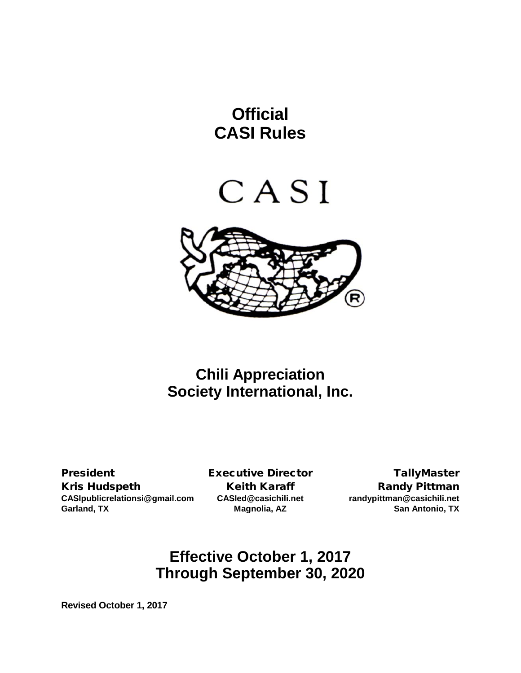# **Official CASI Rules**





# **Chili Appreciation Society International, Inc.**

President **Executive Director** TallyMaster Kris Hudspeth Keith Karaff Karamen Randy Pittman **CASIpublicrelationsi@gmail.com CASIed@casichili.net randypittman@casichili.net Garland, TX Magnolia, AZ San Antonio, TX**

# **Effective October 1, 2017 Through September 30, 2020**

**Revised October 1, 2017**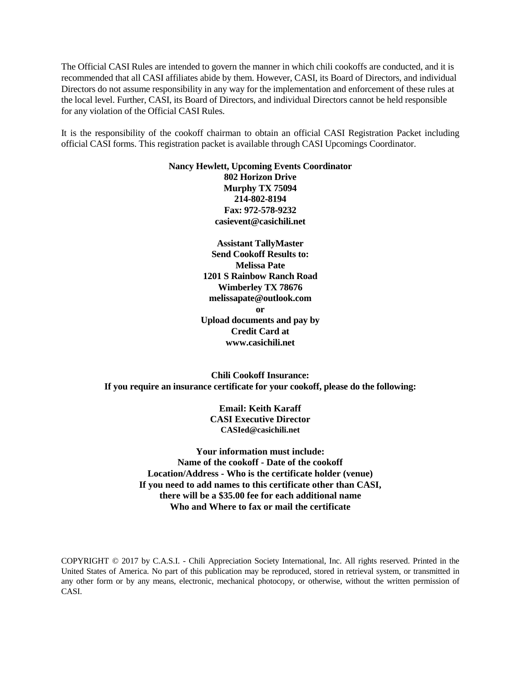The Official CASI Rules are intended to govern the manner in which chili cookoffs are conducted, and it is recommended that all CASI affiliates abide by them. However, CASI, its Board of Directors, and individual Directors do not assume responsibility in any way for the implementation and enforcement of these rules at the local level. Further, CASI, its Board of Directors, and individual Directors cannot be held responsible for any violation of the Official CASI Rules.

It is the responsibility of the cookoff chairman to obtain an official CASI Registration Packet including official CASI forms. This registration packet is available through CASI Upcomings Coordinator.

> **Nancy Hewlett, Upcoming Events Coordinator 802 Horizon Drive Murphy TX 75094 214-802-8194 Fax: 972-578-9232 casievent@casichili.net**

> > **Assistant TallyMaster Send Cookoff Results to: Melissa Pate 1201 S Rainbow Ranch Road Wimberley TX 78676 melissapate@outlook.com or Upload documents and pay by Credit Card at www.casichili.net**

**Chili Cookoff Insurance: If you require an insurance certificate for your cookoff, please do the following:**

> **Email: Keith Karaff CASI Executive Director [CASIed@casichili.net](mailto:CASIed@casichili.net)**

**Your information must include: Name of the cookoff - Date of the cookoff Location/Address - Who is the certificate holder (venue) If you need to add names to this certificate other than CASI, there will be a \$35.00 fee for each additional name Who and Where to fax or mail the certificate**

COPYRIGHT © 2017 by C.A.S.I. - Chili Appreciation Society International, Inc. All rights reserved. Printed in the United States of America. No part of this publication may be reproduced, stored in retrieval system, or transmitted in any other form or by any means, electronic, mechanical photocopy, or otherwise, without the written permission of CASI.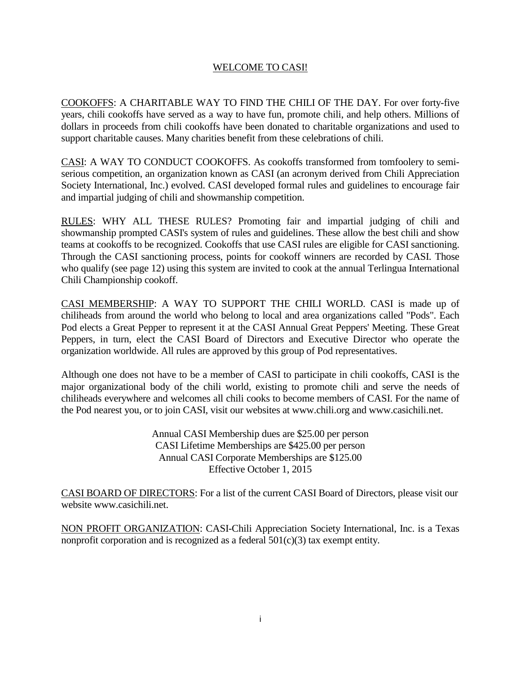# WELCOME TO CASI!

COOKOFFS: A CHARITABLE WAY TO FIND THE CHILI OF THE DAY. For over forty-five years, chili cookoffs have served as a way to have fun, promote chili, and help others. Millions of dollars in proceeds from chili cookoffs have been donated to charitable organizations and used to support charitable causes. Many charities benefit from these celebrations of chili.

CASI: A WAY TO CONDUCT COOKOFFS. As cookoffs transformed from tomfoolery to semiserious competition, an organization known as CASI (an acronym derived from Chili Appreciation Society International, Inc.) evolved. CASI developed formal rules and guidelines to encourage fair and impartial judging of chili and showmanship competition.

RULES: WHY ALL THESE RULES? Promoting fair and impartial judging of chili and showmanship prompted CASI's system of rules and guidelines. These allow the best chili and show teams at cookoffs to be recognized. Cookoffs that use CASI rules are eligible for CASI sanctioning. Through the CASI sanctioning process, points for cookoff winners are recorded by CASI. Those who qualify (see page 12) using this system are invited to cook at the annual Terlingua International Chili Championship cookoff.

CASI MEMBERSHIP: A WAY TO SUPPORT THE CHILI WORLD. CASI is made up of chiliheads from around the world who belong to local and area organizations called "Pods". Each Pod elects a Great Pepper to represent it at the CASI Annual Great Peppers' Meeting. These Great Peppers, in turn, elect the CASI Board of Directors and Executive Director who operate the organization worldwide. All rules are approved by this group of Pod representatives.

Although one does not have to be a member of CASI to participate in chili cookoffs, CASI is the major organizational body of the chili world, existing to promote chili and serve the needs of chiliheads everywhere and welcomes all chili cooks to become members of CASI. For the name of the Pod nearest you, or to join CASI, visit our websites at [www.chili.org](http://www.chili.org/) and www.casichili.net.

> Annual CASI Membership dues are \$25.00 per person CASI Lifetime Memberships are \$425.00 per person Annual CASI Corporate Memberships are \$125.00 Effective October 1, 2015

CASI BOARD OF DIRECTORS: For a list of the current CASI Board of Directors, please visit our website www.casichili.net.

NON PROFIT ORGANIZATION: CASI-Chili Appreciation Society International, Inc. is a Texas nonprofit corporation and is recognized as a federal 501(c)(3) tax exempt entity.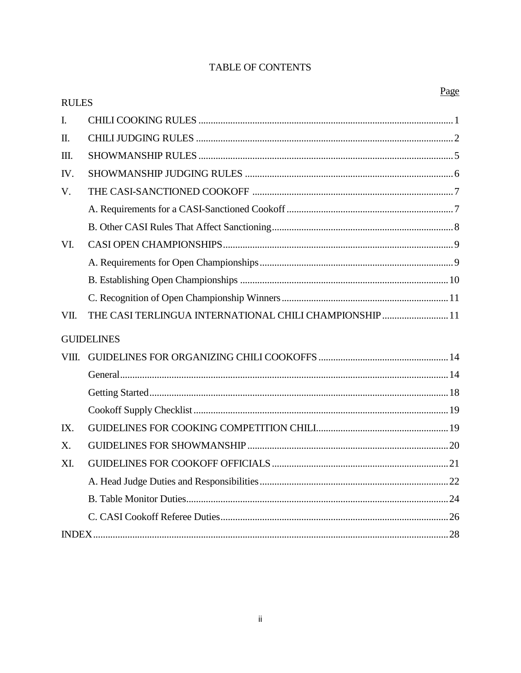# TABLE OF CONTENTS

| <b>RULES</b>   |                                                        | г адс |
|----------------|--------------------------------------------------------|-------|
| $\mathbf{I}$ . |                                                        |       |
| Π.             |                                                        |       |
| Ш.             |                                                        |       |
| IV.            |                                                        |       |
| V.             |                                                        |       |
|                |                                                        |       |
|                |                                                        |       |
| VI.            |                                                        |       |
|                |                                                        |       |
|                |                                                        |       |
|                |                                                        |       |
| VII.           | THE CASI TERLINGUA INTERNATIONAL CHILI CHAMPIONSHIP 11 |       |
|                | <b>GUIDELINES</b>                                      |       |
| VIII.          |                                                        |       |
|                |                                                        |       |
|                |                                                        |       |
|                |                                                        |       |
| IX.            |                                                        |       |
| X.             |                                                        |       |
| XI.            |                                                        |       |
|                |                                                        |       |
|                |                                                        |       |
|                |                                                        |       |
|                |                                                        |       |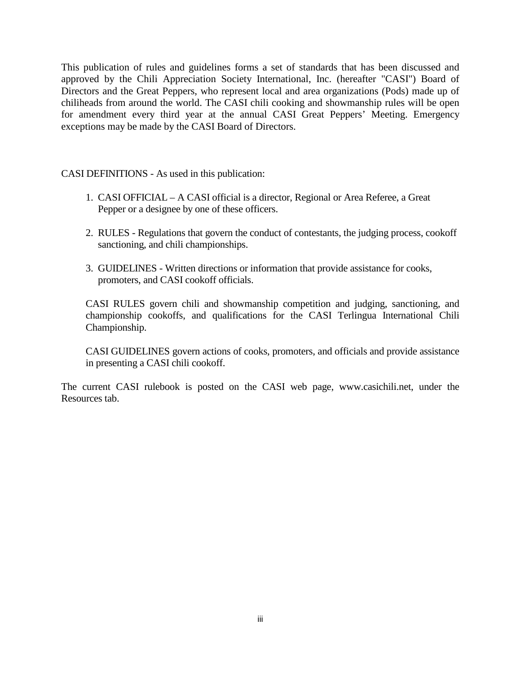This publication of rules and guidelines forms a set of standards that has been discussed and approved by the Chili Appreciation Society International, Inc. (hereafter "CASI") Board of Directors and the Great Peppers, who represent local and area organizations (Pods) made up of chiliheads from around the world. The CASI chili cooking and showmanship rules will be open for amendment every third year at the annual CASI Great Peppers' Meeting. Emergency exceptions may be made by the CASI Board of Directors.

CASI DEFINITIONS - As used in this publication:

- 1. CASI OFFICIAL A CASI official is a director, Regional or Area Referee, a Great Pepper or a designee by one of these officers.
- 2. RULES Regulations that govern the conduct of contestants, the judging process, cookoff sanctioning, and chili championships.
- 3. GUIDELINES Written directions or information that provide assistance for cooks, promoters, and CASI cookoff officials.

CASI RULES govern chili and showmanship competition and judging, sanctioning, and championship cookoffs, and qualifications for the CASI Terlingua International Chili Championship.

CASI GUIDELINES govern actions of cooks, promoters, and officials and provide assistance in presenting a CASI chili cookoff.

The current CASI rulebook is posted on the CASI web page, [www.casichili.net,](http://www.casichili.net/) under the Resources tab.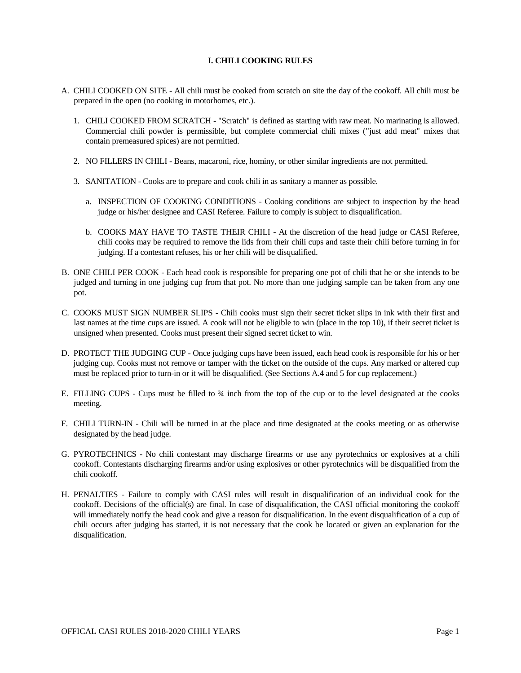# **I. CHILI COOKING RULES**

- A. CHILI COOKED ON SITE All chili must be cooked from scratch on site the day of the cookoff. All chili must be prepared in the open (no cooking in motorhomes, etc.).
	- 1. CHILI COOKED FROM SCRATCH "Scratch" is defined as starting with raw meat. No marinating is allowed. Commercial chili powder is permissible, but complete commercial chili mixes ("just add meat" mixes that contain premeasured spices) are not permitted.
	- 2. NO FILLERS IN CHILI Beans, macaroni, rice, hominy, or other similar ingredients are not permitted.
	- 3. SANITATION Cooks are to prepare and cook chili in as sanitary a manner as possible.
		- a. INSPECTION OF COOKING CONDITIONS Cooking conditions are subject to inspection by the head judge or his/her designee and CASI Referee. Failure to comply is subject to disqualification.
		- b. COOKS MAY HAVE TO TASTE THEIR CHILI At the discretion of the head judge or CASI Referee, chili cooks may be required to remove the lids from their chili cups and taste their chili before turning in for judging. If a contestant refuses, his or her chili will be disqualified.
- B. ONE CHILI PER COOK Each head cook is responsible for preparing one pot of chili that he or she intends to be judged and turning in one judging cup from that pot. No more than one judging sample can be taken from any one pot.
- C. COOKS MUST SIGN NUMBER SLIPS Chili cooks must sign their secret ticket slips in ink with their first and last names at the time cups are issued. A cook will not be eligible to win (place in the top 10), if their secret ticket is unsigned when presented. Cooks must present their signed secret ticket to win.
- D. PROTECT THE JUDGING CUP Once judging cups have been issued, each head cook is responsible for his or her judging cup. Cooks must not remove or tamper with the ticket on the outside of the cups. Any marked or altered cup must be replaced prior to turn-in or it will be disqualified. (See Sections A.4 and 5 for cup replacement.)
- E. FILLING CUPS Cups must be filled to  $\frac{3}{4}$  inch from the top of the cup or to the level designated at the cooks meeting.
- F. CHILI TURN-IN Chili will be turned in at the place and time designated at the cooks meeting or as otherwise designated by the head judge.
- G. PYROTECHNICS No chili contestant may discharge firearms or use any pyrotechnics or explosives at a chili cookoff. Contestants discharging firearms and/or using explosives or other pyrotechnics will be disqualified from the chili cookoff.
- H. PENALTIES Failure to comply with CASI rules will result in disqualification of an individual cook for the cookoff. Decisions of the official(s) are final. In case of disqualification, the CASI official monitoring the cookoff will immediately notify the head cook and give a reason for disqualification. In the event disqualification of a cup of chili occurs after judging has started, it is not necessary that the cook be located or given an explanation for the disqualification.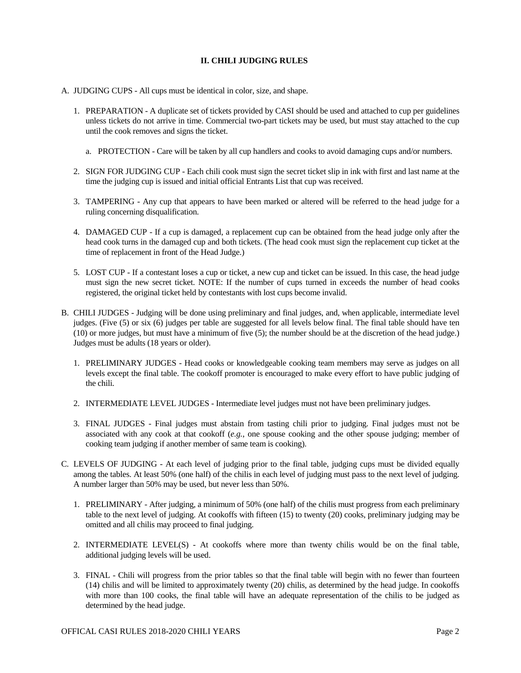# **II. CHILI JUDGING RULES**

- A. JUDGING CUPS All cups must be identical in color, size, and shape.
	- 1. PREPARATION A duplicate set of tickets provided by CASI should be used and attached to cup per guidelines unless tickets do not arrive in time. Commercial two-part tickets may be used, but must stay attached to the cup until the cook removes and signs the ticket.
		- a. PROTECTION Care will be taken by all cup handlers and cooks to avoid damaging cups and/or numbers.
	- 2. SIGN FOR JUDGING CUP Each chili cook must sign the secret ticket slip in ink with first and last name at the time the judging cup is issued and initial official Entrants List that cup was received.
	- 3. TAMPERING Any cup that appears to have been marked or altered will be referred to the head judge for a ruling concerning disqualification.
	- 4. DAMAGED CUP If a cup is damaged, a replacement cup can be obtained from the head judge only after the head cook turns in the damaged cup and both tickets. (The head cook must sign the replacement cup ticket at the time of replacement in front of the Head Judge.)
	- 5. LOST CUP If a contestant loses a cup or ticket, a new cup and ticket can be issued. In this case, the head judge must sign the new secret ticket. NOTE: If the number of cups turned in exceeds the number of head cooks registered, the original ticket held by contestants with lost cups become invalid.
- B. CHILI JUDGES Judging will be done using preliminary and final judges, and, when applicable, intermediate level judges. (Five (5) or six (6) judges per table are suggested for all levels below final. The final table should have ten (10) or more judges, but must have a minimum of five (5); the number should be at the discretion of the head judge.) Judges must be adults (18 years or older).
	- 1. PRELIMINARY JUDGES Head cooks or knowledgeable cooking team members may serve as judges on all levels except the final table. The cookoff promoter is encouraged to make every effort to have public judging of the chili.
	- 2. INTERMEDIATE LEVEL JUDGES Intermediate level judges must not have been preliminary judges.
	- 3. FINAL JUDGES Final judges must abstain from tasting chili prior to judging. Final judges must not be associated with any cook at that cookoff (*e.g.*, one spouse cooking and the other spouse judging; member of cooking team judging if another member of same team is cooking).
- C. LEVELS OF JUDGING At each level of judging prior to the final table, judging cups must be divided equally among the tables. At least 50% (one half) of the chilis in each level of judging must pass to the next level of judging. A number larger than 50% may be used, but never less than 50%.
	- 1. PRELIMINARY After judging, a minimum of 50% (one half) of the chilis must progress from each preliminary table to the next level of judging. At cookoffs with fifteen (15) to twenty (20) cooks, preliminary judging may be omitted and all chilis may proceed to final judging.
	- 2. INTERMEDIATE LEVEL(S) At cookoffs where more than twenty chilis would be on the final table, additional judging levels will be used.
	- 3. FINAL Chili will progress from the prior tables so that the final table will begin with no fewer than fourteen (14) chilis and will be limited to approximately twenty (20) chilis, as determined by the head judge. In cookoffs with more than 100 cooks, the final table will have an adequate representation of the chilis to be judged as determined by the head judge.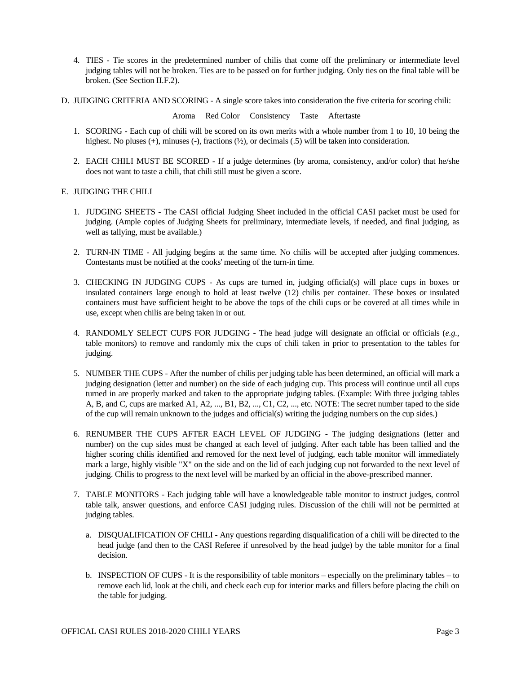- 4. TIES Tie scores in the predetermined number of chilis that come off the preliminary or intermediate level judging tables will not be broken. Ties are to be passed on for further judging. Only ties on the final table will be broken. (See Section II.F.2).
- D. JUDGING CRITERIA AND SCORING A single score takes into consideration the five criteria for scoring chili:

Aroma Red Color Consistency Taste Aftertaste

- 1. SCORING Each cup of chili will be scored on its own merits with a whole number from 1 to 10, 10 being the highest. No pluses  $(+)$ , minuses  $(-)$ , fractions  $(½)$ , or decimals  $(.5)$  will be taken into consideration.
- 2. EACH CHILI MUST BE SCORED If a judge determines (by aroma, consistency, and/or color) that he/she does not want to taste a chili, that chili still must be given a score.

# E. JUDGING THE CHILI

- 1. JUDGING SHEETS The CASI official Judging Sheet included in the official CASI packet must be used for judging. (Ample copies of Judging Sheets for preliminary, intermediate levels, if needed, and final judging, as well as tallying, must be available.)
- 2. TURN-IN TIME All judging begins at the same time. No chilis will be accepted after judging commences. Contestants must be notified at the cooks' meeting of the turn-in time.
- 3. CHECKING IN JUDGING CUPS As cups are turned in, judging official(s) will place cups in boxes or insulated containers large enough to hold at least twelve (12) chilis per container. These boxes or insulated containers must have sufficient height to be above the tops of the chili cups or be covered at all times while in use, except when chilis are being taken in or out.
- 4. RANDOMLY SELECT CUPS FOR JUDGING The head judge will designate an official or officials (*e.g.*, table monitors) to remove and randomly mix the cups of chili taken in prior to presentation to the tables for judging.
- 5. NUMBER THE CUPS After the number of chilis per judging table has been determined, an official will mark a judging designation (letter and number) on the side of each judging cup. This process will continue until all cups turned in are properly marked and taken to the appropriate judging tables. (Example: With three judging tables A, B, and C, cups are marked A1, A2, ..., B1, B2, ..., C1, C2, ..., etc. NOTE: The secret number taped to the side of the cup will remain unknown to the judges and official(s) writing the judging numbers on the cup sides.)
- 6. RENUMBER THE CUPS AFTER EACH LEVEL OF JUDGING The judging designations (letter and number) on the cup sides must be changed at each level of judging. After each table has been tallied and the higher scoring chilis identified and removed for the next level of judging, each table monitor will immediately mark a large, highly visible "X" on the side and on the lid of each judging cup not forwarded to the next level of judging. Chilis to progress to the next level will be marked by an official in the above-prescribed manner.
- 7. TABLE MONITORS Each judging table will have a knowledgeable table monitor to instruct judges, control table talk, answer questions, and enforce CASI judging rules. Discussion of the chili will not be permitted at judging tables.
	- a. DISQUALIFICATION OF CHILI Any questions regarding disqualification of a chili will be directed to the head judge (and then to the CASI Referee if unresolved by the head judge) by the table monitor for a final decision.
	- b. INSPECTION OF CUPS It is the responsibility of table monitors especially on the preliminary tables to remove each lid, look at the chili, and check each cup for interior marks and fillers before placing the chili on the table for judging.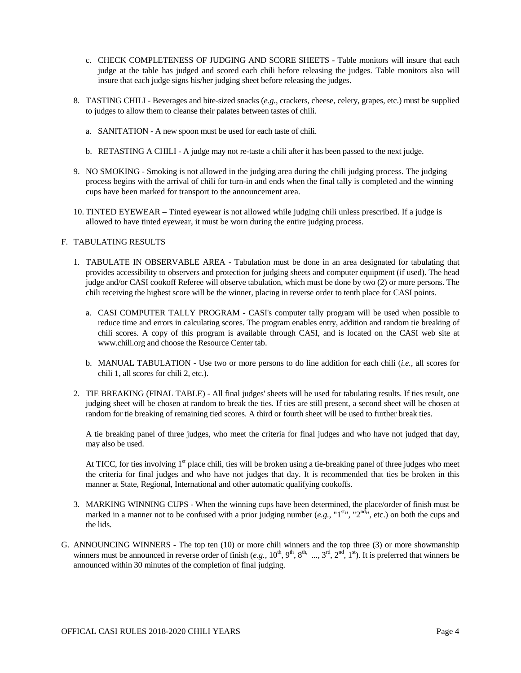- c. CHECK COMPLETENESS OF JUDGING AND SCORE SHEETS Table monitors will insure that each judge at the table has judged and scored each chili before releasing the judges. Table monitors also will insure that each judge signs his/her judging sheet before releasing the judges.
- 8. TASTING CHILI Beverages and bite-sized snacks (*e.g.*, crackers, cheese, celery, grapes, etc.) must be supplied to judges to allow them to cleanse their palates between tastes of chili.
	- a. SANITATION A new spoon must be used for each taste of chili.
	- b. RETASTING A CHILI A judge may not re-taste a chili after it has been passed to the next judge.
- 9. NO SMOKING Smoking is not allowed in the judging area during the chili judging process. The judging process begins with the arrival of chili for turn-in and ends when the final tally is completed and the winning cups have been marked for transport to the announcement area.
- 10. TINTED EYEWEAR Tinted eyewear is not allowed while judging chili unless prescribed. If a judge is allowed to have tinted eyewear, it must be worn during the entire judging process.

#### F. TABULATING RESULTS

- 1. TABULATE IN OBSERVABLE AREA Tabulation must be done in an area designated for tabulating that provides accessibility to observers and protection for judging sheets and computer equipment (if used). The head judge and/or CASI cookoff Referee will observe tabulation, which must be done by two (2) or more persons. The chili receiving the highest score will be the winner, placing in reverse order to tenth place for CASI points.
	- a. CASI COMPUTER TALLY PROGRAM CASI's computer tally program will be used when possible to reduce time and errors in calculating scores. The program enables entry, addition and random tie breaking of chili scores. A copy of this program is available through CASI, and is located on the CASI web site at [www.chili.org](http://www.chili.org/) and choose the Resource Center tab.
	- b. MANUAL TABULATION Use two or more persons to do line addition for each chili (*i.e.*, all scores for chili 1, all scores for chili 2, etc.).
- 2. TIE BREAKING (FINAL TABLE) All final judges' sheets will be used for tabulating results. If ties result, one judging sheet will be chosen at random to break the ties. If ties are still present, a second sheet will be chosen at random for tie breaking of remaining tied scores. A third or fourth sheet will be used to further break ties.

A tie breaking panel of three judges, who meet the criteria for final judges and who have not judged that day, may also be used.

At TICC, for ties involving  $1<sup>st</sup>$  place chili, ties will be broken using a tie-breaking panel of three judges who meet the criteria for final judges and who have not judges that day. It is recommended that ties be broken in this manner at State, Regional, International and other automatic qualifying cookoffs.

- 3. MARKING WINNING CUPS When the winning cups have been determined, the place/order of finish must be marked in a manner not to be confused with a prior judging number (*e.g.*, "1<sup>st</sup>", "2<sup>nd</sup>", etc.) on both the cups and the lids.
- G. ANNOUNCING WINNERS The top ten (10) or more chili winners and the top three (3) or more showmanship winners must be announced in reverse order of finish  $(e.g., 10^{\text{th}}, 9^{\text{th}}, 8^{\text{th}}, ..., 3^{\text{rd}}, 2^{\text{nd}}, 1^{\text{st}})$ . It is preferred that winners be announced within 30 minutes of the completion of final judging.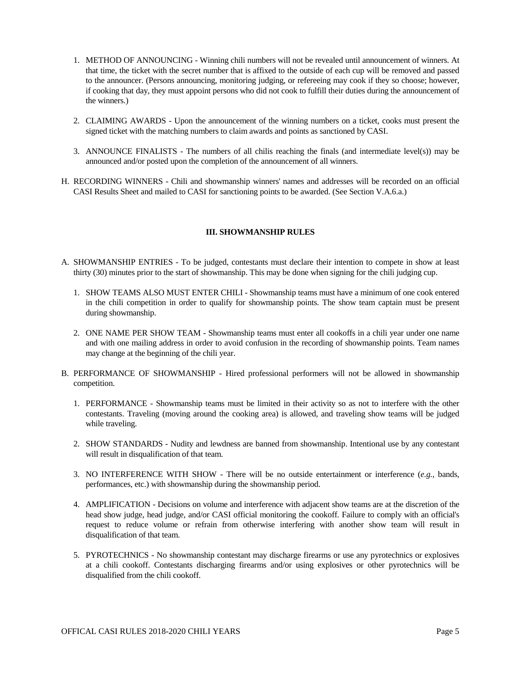- 1. METHOD OF ANNOUNCING Winning chili numbers will not be revealed until announcement of winners. At that time, the ticket with the secret number that is affixed to the outside of each cup will be removed and passed to the announcer. (Persons announcing, monitoring judging, or refereeing may cook if they so choose; however, if cooking that day, they must appoint persons who did not cook to fulfill their duties during the announcement of the winners.)
- 2. CLAIMING AWARDS Upon the announcement of the winning numbers on a ticket, cooks must present the signed ticket with the matching numbers to claim awards and points as sanctioned by CASI.
- 3. ANNOUNCE FINALISTS The numbers of all chilis reaching the finals (and intermediate level(s)) may be announced and/or posted upon the completion of the announcement of all winners.
- H. RECORDING WINNERS Chili and showmanship winners' names and addresses will be recorded on an official CASI Results Sheet and mailed to CASI for sanctioning points to be awarded. (See Section V.A.6.a.)

# **III. SHOWMANSHIP RULES**

- A. SHOWMANSHIP ENTRIES To be judged, contestants must declare their intention to compete in show at least thirty (30) minutes prior to the start of showmanship. This may be done when signing for the chili judging cup.
	- 1. SHOW TEAMS ALSO MUST ENTER CHILI Showmanship teams must have a minimum of one cook entered in the chili competition in order to qualify for showmanship points. The show team captain must be present during showmanship.
	- 2. ONE NAME PER SHOW TEAM Showmanship teams must enter all cookoffs in a chili year under one name and with one mailing address in order to avoid confusion in the recording of showmanship points. Team names may change at the beginning of the chili year.
- B. PERFORMANCE OF SHOWMANSHIP Hired professional performers will not be allowed in showmanship competition.
	- 1. PERFORMANCE Showmanship teams must be limited in their activity so as not to interfere with the other contestants. Traveling (moving around the cooking area) is allowed, and traveling show teams will be judged while traveling.
	- 2. SHOW STANDARDS Nudity and lewdness are banned from showmanship. Intentional use by any contestant will result in disqualification of that team.
	- 3. NO INTERFERENCE WITH SHOW There will be no outside entertainment or interference (*e.g.*, bands, performances, etc.) with showmanship during the showmanship period.
	- 4. AMPLIFICATION Decisions on volume and interference with adjacent show teams are at the discretion of the head show judge, head judge, and/or CASI official monitoring the cookoff. Failure to comply with an official's request to reduce volume or refrain from otherwise interfering with another show team will result in disqualification of that team.
	- 5. PYROTECHNICS No showmanship contestant may discharge firearms or use any pyrotechnics or explosives at a chili cookoff. Contestants discharging firearms and/or using explosives or other pyrotechnics will be disqualified from the chili cookoff.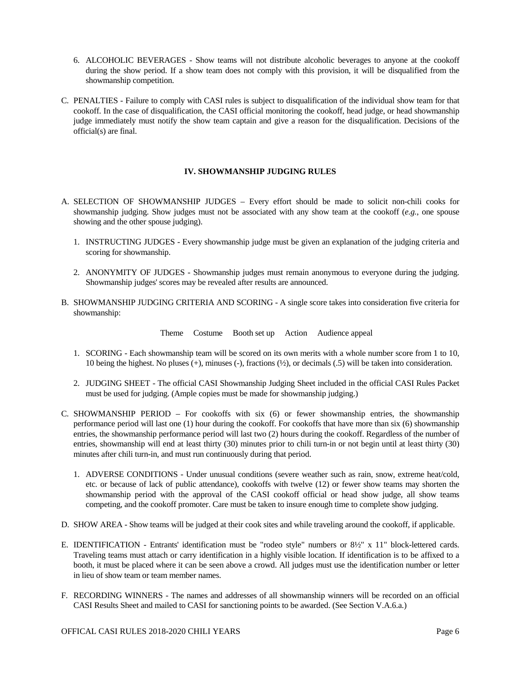- 6. ALCOHOLIC BEVERAGES Show teams will not distribute alcoholic beverages to anyone at the cookoff during the show period. If a show team does not comply with this provision, it will be disqualified from the showmanship competition.
- C. PENALTIES Failure to comply with CASI rules is subject to disqualification of the individual show team for that cookoff. In the case of disqualification, the CASI official monitoring the cookoff, head judge, or head showmanship judge immediately must notify the show team captain and give a reason for the disqualification. Decisions of the official(s) are final.

# **IV. SHOWMANSHIP JUDGING RULES**

- A. SELECTION OF SHOWMANSHIP JUDGES Every effort should be made to solicit non-chili cooks for showmanship judging. Show judges must not be associated with any show team at the cookoff (*e.g.*, one spouse showing and the other spouse judging).
	- 1. INSTRUCTING JUDGES Every showmanship judge must be given an explanation of the judging criteria and scoring for showmanship.
	- 2. ANONYMITY OF JUDGES Showmanship judges must remain anonymous to everyone during the judging. Showmanship judges' scores may be revealed after results are announced.
- B. SHOWMANSHIP JUDGING CRITERIA AND SCORING A single score takes into consideration five criteria for showmanship:

Theme Costume Booth set up Action Audience appeal

- 1. SCORING Each showmanship team will be scored on its own merits with a whole number score from 1 to 10, 10 being the highest. No pluses (+), minuses (-), fractions (½), or decimals (.5) will be taken into consideration.
- 2. JUDGING SHEET The official CASI Showmanship Judging Sheet included in the official CASI Rules Packet must be used for judging. (Ample copies must be made for showmanship judging.)
- C. SHOWMANSHIP PERIOD For cookoffs with six (6) or fewer showmanship entries, the showmanship performance period will last one (1) hour during the cookoff. For cookoffs that have more than six (6) showmanship entries, the showmanship performance period will last two (2) hours during the cookoff. Regardless of the number of entries, showmanship will end at least thirty (30) minutes prior to chili turn-in or not begin until at least thirty (30) minutes after chili turn-in, and must run continuously during that period.
	- 1. ADVERSE CONDITIONS Under unusual conditions (severe weather such as rain, snow, extreme heat/cold, etc. or because of lack of public attendance), cookoffs with twelve (12) or fewer show teams may shorten the showmanship period with the approval of the CASI cookoff official or head show judge, all show teams competing, and the cookoff promoter. Care must be taken to insure enough time to complete show judging.
- D. SHOW AREA Show teams will be judged at their cook sites and while traveling around the cookoff, if applicable.
- E. IDENTIFICATION Entrants' identification must be "rodeo style" numbers or 8½" x 11" block-lettered cards. Traveling teams must attach or carry identification in a highly visible location. If identification is to be affixed to a booth, it must be placed where it can be seen above a crowd. All judges must use the identification number or letter in lieu of show team or team member names.
- F. RECORDING WINNERS The names and addresses of all showmanship winners will be recorded on an official CASI Results Sheet and mailed to CASI for sanctioning points to be awarded. (See Section V.A.6.a.)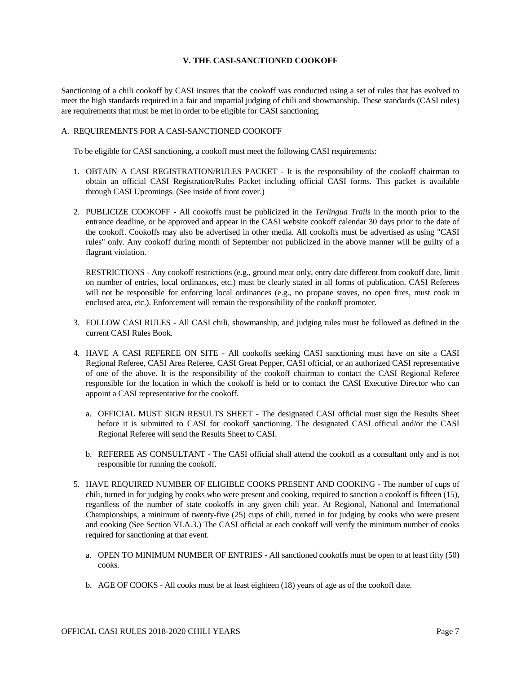# **V. THE CASI-SANCTIONED COOKOFF**

Sanctioning of a chili cookoff by CASI insures that the cookoff was conducted using a set of rules that has evolved to meet the high standards required in a fair and impartial judging of chili and showmanship. These standards (CASI rules) are requirements that must be met in order to be eligible for CASI sanctioning.

## A. REQUIREMENTS FOR A CASI-SANCTIONED COOKOFF

To be eligible for CASI sanctioning, a cookoff must meet the following CASI requirements:

- 1. OBTAIN A CASI REGISTRATION/RULES PACKET It is the responsibility of the cookoff chairman to obtain an official CASI Registration/Rules Packet including official CASI forms. This packet is available through CASI Upcomings. (See inside of front cover.)
- 2. PUBLICIZE COOKOFF All cookoffs must be publicized in the *Terlingua Trails* in the month prior to the entrance deadline, or be approved and appear in the CASI website cookoff calendar 30 days prior to the date of the cookoff. Cookoffs may also be advertised in other media. All cookoffs must be advertised as using "CASI rules" only. Any cookoff during month of September not publicized in the above manner will be guilty of a flagrant violation.

RESTRICTIONS - Any cookoff restrictions (e.g., ground meat only, entry date different from cookoff date, limit on number of entries, local ordinances, etc.) must be clearly stated in all forms of publication. CASI Referees will not be responsible for enforcing local ordinances (e.g., no propane stoves, no open fires, must cook in enclosed area, etc.). Enforcement will remain the responsibility of the cookoff promoter.

- 3. FOLLOW CASI RULES All CASI chili, showmanship, and judging rules must be followed as defined in the current CASI Rules Book.
- 4. HAVE A CASI REFEREE ON SITE All cookoffs seeking CASI sanctioning must have on site a CASI Regional Referee, CASI Area Referee, CASI Great Pepper, CASI official, or an authorized CASI representative of one of the above. It is the responsibility of the cookoff chairman to contact the CASI Regional Referee responsible for the location in which the cookoff is held or to contact the CASI Executive Director who can appoint a CASI representative for the cookoff.
	- a. OFFICIAL MUST SIGN RESULTS SHEET The designated CASI official must sign the Results Sheet before it is submitted to CASI for cookoff sanctioning. The designated CASI official and/or the CASI Regional Referee will send the Results Sheet to CASI.
	- b. REFEREE AS CONSULTANT The CASI official shall attend the cookoff as a consultant only and is not responsible for running the cookoff.
- 5. HAVE REQUIRED NUMBER OF ELIGIBLE COOKS PRESENT AND COOKING The number of cups of chili, turned in for judging by cooks who were present and cooking, required to sanction a cookoff is fifteen (15), regardless of the number of state cookoffs in any given chili year. At Regional, National and International Championships, a minimum of twenty-five (25) cups of chili, turned in for judging by cooks who were present and cooking (See Section VI.A.3.) The CASI official at each cookoff will verify the minimum number of cooks required for sanctioning at that event.
	- a. OPEN TO MINIMUM NUMBER OF ENTRIES All sanctioned cookoffs must be open to at least fifty (50) cooks.
	- b. AGE OF COOKS All cooks must be at least eighteen (18) years of age as of the cookoff date.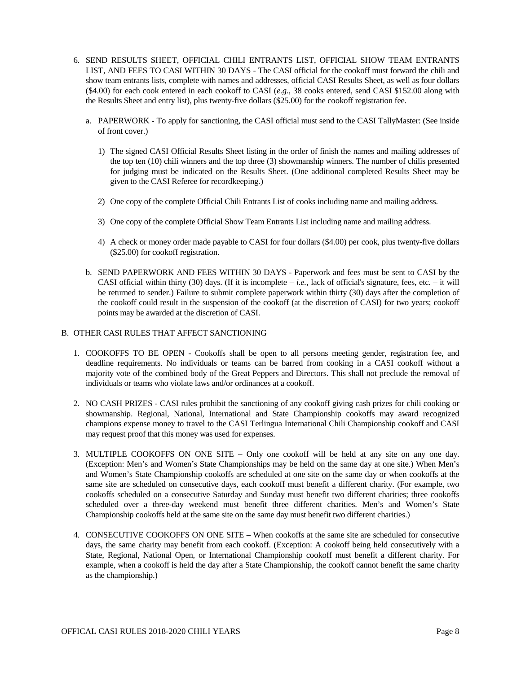- 6. SEND RESULTS SHEET, OFFICIAL CHILI ENTRANTS LIST, OFFICIAL SHOW TEAM ENTRANTS LIST, AND FEES TO CASI WITHIN 30 DAYS - The CASI official for the cookoff must forward the chili and show team entrants lists, complete with names and addresses, official CASI Results Sheet, as well as four dollars (\$4.00) for each cook entered in each cookoff to CASI (*e.g.*, 38 cooks entered, send CASI \$152.00 along with the Results Sheet and entry list), plus twenty-five dollars (\$25.00) for the cookoff registration fee.
	- a. PAPERWORK To apply for sanctioning, the CASI official must send to the CASI TallyMaster: (See inside of front cover.)
		- 1) The signed CASI Official Results Sheet listing in the order of finish the names and mailing addresses of the top ten (10) chili winners and the top three (3) showmanship winners. The number of chilis presented for judging must be indicated on the Results Sheet. (One additional completed Results Sheet may be given to the CASI Referee for recordkeeping.)
		- 2) One copy of the complete Official Chili Entrants List of cooks including name and mailing address.
		- 3) One copy of the complete Official Show Team Entrants List including name and mailing address.
		- 4) A check or money order made payable to CASI for four dollars (\$4.00) per cook, plus twenty-five dollars (\$25.00) for cookoff registration.
	- b. SEND PAPERWORK AND FEES WITHIN 30 DAYS Paperwork and fees must be sent to CASI by the CASI official within thirty (30) days. (If it is incomplete – *i.e.*, lack of official's signature, fees, etc. – it will be returned to sender.) Failure to submit complete paperwork within thirty (30) days after the completion of the cookoff could result in the suspension of the cookoff (at the discretion of CASI) for two years; cookoff points may be awarded at the discretion of CASI.

# B. OTHER CASI RULES THAT AFFECT SANCTIONING

- 1. COOKOFFS TO BE OPEN Cookoffs shall be open to all persons meeting gender, registration fee, and deadline requirements. No individuals or teams can be barred from cooking in a CASI cookoff without a majority vote of the combined body of the Great Peppers and Directors. This shall not preclude the removal of individuals or teams who violate laws and/or ordinances at a cookoff.
- 2. NO CASH PRIZES CASI rules prohibit the sanctioning of any cookoff giving cash prizes for chili cooking or showmanship. Regional, National, International and State Championship cookoffs may award recognized champions expense money to travel to the CASI Terlingua International Chili Championship cookoff and CASI may request proof that this money was used for expenses.
- 3. MULTIPLE COOKOFFS ON ONE SITE Only one cookoff will be held at any site on any one day. (Exception: Men's and Women's State Championships may be held on the same day at one site.) When Men's and Women's State Championship cookoffs are scheduled at one site on the same day or when cookoffs at the same site are scheduled on consecutive days, each cookoff must benefit a different charity. (For example, two cookoffs scheduled on a consecutive Saturday and Sunday must benefit two different charities; three cookoffs scheduled over a three-day weekend must benefit three different charities. Men's and Women's State Championship cookoffs held at the same site on the same day must benefit two different charities.)
- 4. CONSECUTIVE COOKOFFS ON ONE SITE When cookoffs at the same site are scheduled for consecutive days, the same charity may benefit from each cookoff. (Exception: A cookoff being held consecutively with a State, Regional, National Open, or International Championship cookoff must benefit a different charity. For example, when a cookoff is held the day after a State Championship, the cookoff cannot benefit the same charity as the championship.)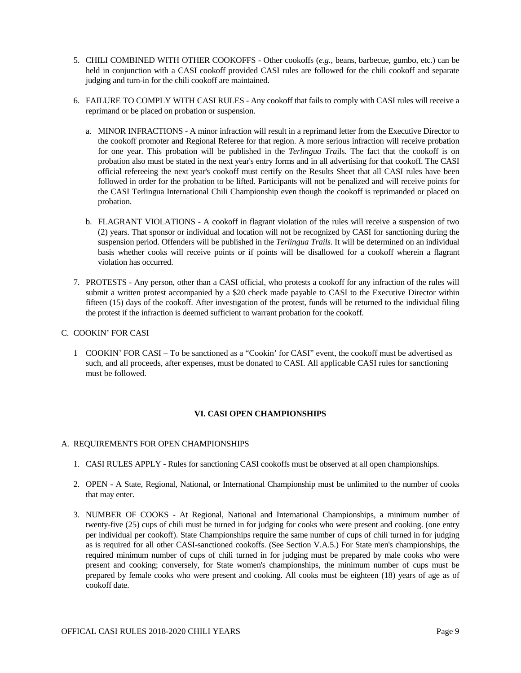- 5. CHILI COMBINED WITH OTHER COOKOFFS Other cookoffs (*e.g.*, beans, barbecue, gumbo, etc.) can be held in conjunction with a CASI cookoff provided CASI rules are followed for the chili cookoff and separate judging and turn-in for the chili cookoff are maintained.
- 6. FAILURE TO COMPLY WITH CASI RULES Any cookoff that fails to comply with CASI rules will receive a reprimand or be placed on probation or suspension.
	- a. MINOR INFRACTIONS A minor infraction will result in a reprimand letter from the Executive Director to the cookoff promoter and Regional Referee for that region. A more serious infraction will receive probation for one year. This probation will be published in the *Terlingua Tra*ils. The fact that the cookoff is on probation also must be stated in the next year's entry forms and in all advertising for that cookoff. The CASI official refereeing the next year's cookoff must certify on the Results Sheet that all CASI rules have been followed in order for the probation to be lifted. Participants will not be penalized and will receive points for the CASI Terlingua International Chili Championship even though the cookoff is reprimanded or placed on probation.
	- b. FLAGRANT VIOLATIONS A cookoff in flagrant violation of the rules will receive a suspension of two (2) years. That sponsor or individual and location will not be recognized by CASI for sanctioning during the suspension period. Offenders will be published in the *Terlingua Trails*. It will be determined on an individual basis whether cooks will receive points or if points will be disallowed for a cookoff wherein a flagrant violation has occurred.
- 7. PROTESTS Any person, other than a CASI official, who protests a cookoff for any infraction of the rules will submit a written protest accompanied by a \$20 check made payable to CASI to the Executive Director within fifteen (15) days of the cookoff. After investigation of the protest, funds will be returned to the individual filing the protest if the infraction is deemed sufficient to warrant probation for the cookoff.

# C. COOKIN' FOR CASI

1 COOKIN' FOR CASI – To be sanctioned as a "Cookin' for CASI" event, the cookoff must be advertised as such, and all proceeds, after expenses, must be donated to CASI. All applicable CASI rules for sanctioning must be followed.

# **VI. CASI OPEN CHAMPIONSHIPS**

#### A. REQUIREMENTS FOR OPEN CHAMPIONSHIPS

- 1. CASI RULES APPLY Rules for sanctioning CASI cookoffs must be observed at all open championships.
- 2. OPEN A State, Regional, National, or International Championship must be unlimited to the number of cooks that may enter.
- 3. NUMBER OF COOKS At Regional, National and International Championships, a minimum number of twenty-five (25) cups of chili must be turned in for judging for cooks who were present and cooking. (one entry per individual per cookoff). State Championships require the same number of cups of chili turned in for judging as is required for all other CASI-sanctioned cookoffs. (See Section V.A.5.) For State men's championships, the required minimum number of cups of chili turned in for judging must be prepared by male cooks who were present and cooking; conversely, for State women's championships, the minimum number of cups must be prepared by female cooks who were present and cooking. All cooks must be eighteen (18) years of age as of cookoff date.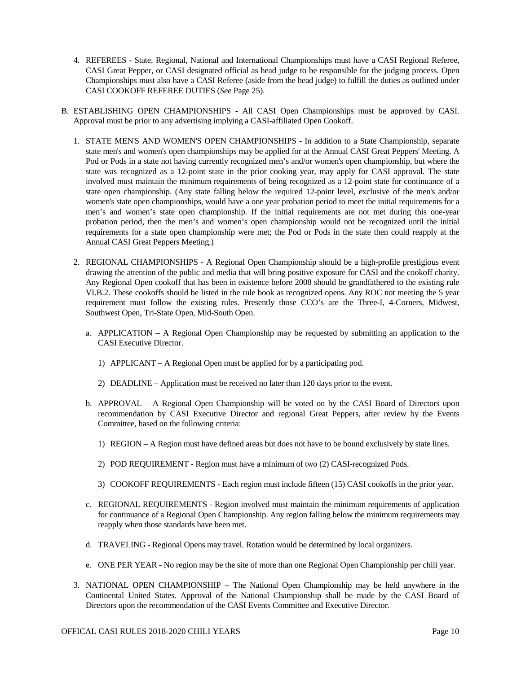- 4. REFEREES State, Regional, National and International Championships must have a CASI Regional Referee, CASI Great Pepper, or CASI designated official as head judge to be responsible for the judging process. Open Championships must also have a CASI Referee (aside from the head judge) to fulfill the duties as outlined under CASI COOKOFF REFEREE DUTIES (*See* Page 25).
- B. ESTABLISHING OPEN CHAMPIONSHIPS All CASI Open Championships must be approved by CASI. Approval must be prior to any advertising implying a CASI-affiliated Open Cookoff.
	- 1. STATE MEN'S AND WOMEN'S OPEN CHAMPIONSHIPS In addition to a State Championship, separate state men's and women's open championships may be applied for at the Annual CASI Great Peppers' Meeting. A Pod or Pods in a state not having currently recognized men's and/or women's open championship, but where the state was recognized as a 12-point state in the prior cooking year, may apply for CASI approval. The state involved must maintain the minimum requirements of being recognized as a 12-point state for continuance of a state open championship. (Any state falling below the required 12-point level, exclusive of the men's and/or women's state open championships, would have a one year probation period to meet the initial requirements for a men's and women's state open championship. If the initial requirements are not met during this one-year probation period, then the men's and women's open championship would not be recognized until the initial requirements for a state open championship were met; the Pod or Pods in the state then could reapply at the Annual CASI Great Peppers Meeting.)
	- 2. REGIONAL CHAMPIONSHIPS A Regional Open Championship should be a high-profile prestigious event drawing the attention of the public and media that will bring positive exposure for CASI and the cookoff charity. Any Regional Open cookoff that has been in existence before 2008 should be grandfathered to the existing rule VI.B.2. These cookoffs should be listed in the rule book as recognized opens. Any ROC not meeting the 5 year requirement must follow the existing rules. Presently those CCO's are the Three-I, 4-Corners, Midwest, Southwest Open, Tri-State Open, Mid-South Open.
		- a. APPLICATION A Regional Open Championship may be requested by submitting an application to the CASI Executive Director.
			- 1) APPLICANT A Regional Open must be applied for by a participating pod.
			- 2) DEADLINE Application must be received no later than 120 days prior to the event.
		- b. APPROVAL A Regional Open Championship will be voted on by the CASI Board of Directors upon recommendation by CASI Executive Director and regional Great Peppers, after review by the Events Committee, based on the following criteria:
			- 1) REGION A Region must have defined areas but does not have to be bound exclusively by state lines.
			- 2) POD REQUIREMENT Region must have a minimum of two (2) CASI-recognized Pods.
			- 3) COOKOFF REQUIREMENTS Each region must include fifteen (15) CASI cookoffs in the prior year.
		- c. REGIONAL REQUIREMENTS Region involved must maintain the minimum requirements of application for continuance of a Regional Open Championship. Any region falling below the minimum requirements may reapply when those standards have been met.
		- d. TRAVELING Regional Opens may travel. Rotation would be determined by local organizers.
		- e. ONE PER YEAR No region may be the site of more than one Regional Open Championship per chili year.
	- 3. NATIONAL OPEN CHAMPIONSHIP The National Open Championship may be held anywhere in the Continental United States. Approval of the National Championship shall be made by the CASI Board of Directors upon the recommendation of the CASI Events Committee and Executive Director.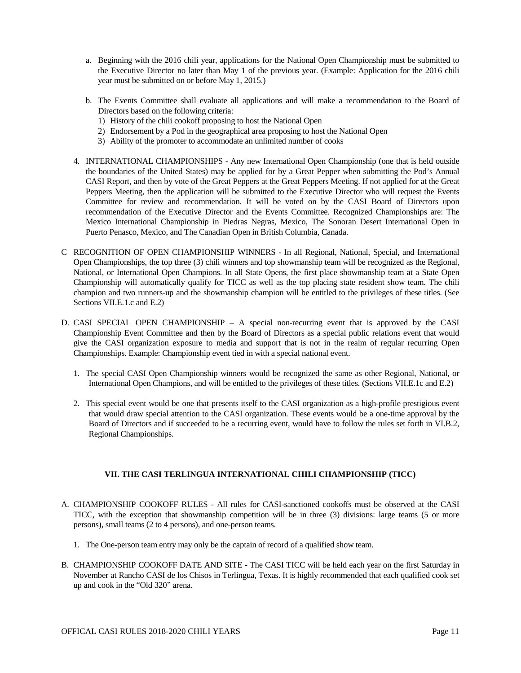- a. Beginning with the 2016 chili year, applications for the National Open Championship must be submitted to the Executive Director no later than May 1 of the previous year. (Example: Application for the 2016 chili year must be submitted on or before May 1, 2015.)
- b. The Events Committee shall evaluate all applications and will make a recommendation to the Board of Directors based on the following criteria:
	- 1) History of the chili cookoff proposing to host the National Open
	- 2) Endorsement by a Pod in the geographical area proposing to host the National Open
	- 3) Ability of the promoter to accommodate an unlimited number of cooks
- 4. INTERNATIONAL CHAMPIONSHIPS Any new International Open Championship (one that is held outside the boundaries of the United States) may be applied for by a Great Pepper when submitting the Pod's Annual CASI Report, and then by vote of the Great Peppers at the Great Peppers Meeting. If not applied for at the Great Peppers Meeting, then the application will be submitted to the Executive Director who will request the Events Committee for review and recommendation. It will be voted on by the CASI Board of Directors upon recommendation of the Executive Director and the Events Committee. Recognized Championships are: The Mexico International Championship in Piedras Negras, Mexico, The Sonoran Desert International Open in Puerto Penasco, Mexico, and The Canadian Open in British Columbia, Canada.
- C RECOGNITION OF OPEN CHAMPIONSHIP WINNERS In all Regional, National, Special, and International Open Championships, the top three (3) chili winners and top showmanship team will be recognized as the Regional, National, or International Open Champions. In all State Opens, the first place showmanship team at a State Open Championship will automatically qualify for TICC as well as the top placing state resident show team. The chili champion and two runners-up and the showmanship champion will be entitled to the privileges of these titles. (See Sections VII.E.1.c and E.2)
- D. CASI SPECIAL OPEN CHAMPIONSHIP A special non-recurring event that is approved by the CASI Championship Event Committee and then by the Board of Directors as a special public relations event that would give the CASI organization exposure to media and support that is not in the realm of regular recurring Open Championships. Example: Championship event tied in with a special national event.
	- 1. The special CASI Open Championship winners would be recognized the same as other Regional, National, or International Open Champions, and will be entitled to the privileges of these titles. (Sections VII.E.1c and E.2)
	- 2. This special event would be one that presents itself to the CASI organization as a high-profile prestigious event that would draw special attention to the CASI organization. These events would be a one-time approval by the Board of Directors and if succeeded to be a recurring event, would have to follow the rules set forth in VI.B.2, Regional Championships.

# **VII. THE CASI TERLINGUA INTERNATIONAL CHILI CHAMPIONSHIP (TICC)**

- A. CHAMPIONSHIP COOKOFF RULES All rules for CASI-sanctioned cookoffs must be observed at the CASI TICC, with the exception that showmanship competition will be in three (3) divisions: large teams (5 or more persons), small teams (2 to 4 persons), and one-person teams.
	- 1. The One-person team entry may only be the captain of record of a qualified show team.
- B. CHAMPIONSHIP COOKOFF DATE AND SITE The CASI TICC will be held each year on the first Saturday in November at Rancho CASI de los Chisos in Terlingua, Texas. It is highly recommended that each qualified cook set up and cook in the "Old 320" arena.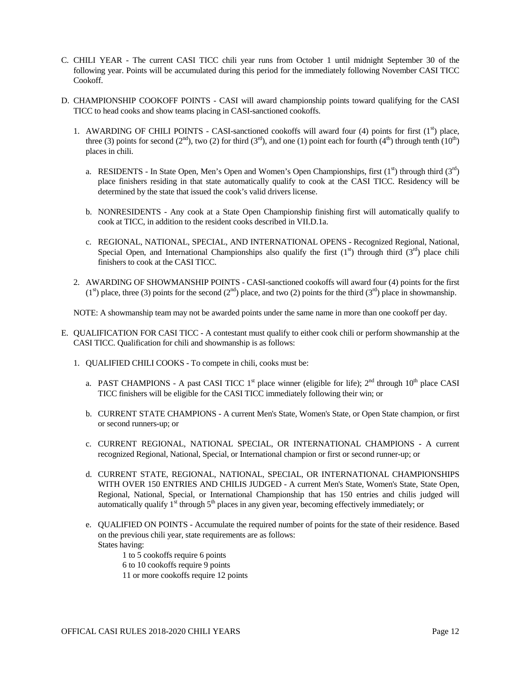- C. CHILI YEAR The current CASI TICC chili year runs from October 1 until midnight September 30 of the following year. Points will be accumulated during this period for the immediately following November CASI TICC Cookoff.
- D. CHAMPIONSHIP COOKOFF POINTS CASI will award championship points toward qualifying for the CASI TICC to head cooks and show teams placing in CASI-sanctioned cookoffs.
	- 1. AWARDING OF CHILI POINTS CASI-sanctioned cookoffs will award four (4) points for first  $(1<sup>st</sup>)$  place, three (3) points for second (2<sup>nd</sup>), two (2) for third (3<sup>rd</sup>), and one (1) point each for fourth (4<sup>th</sup>) through tenth (10<sup>th</sup>) places in chili.
		- a. RESIDENTS In State Open, Men's Open and Women's Open Championships, first  $(1<sup>st</sup>)$  through third  $(3<sup>rd</sup>)$ place finishers residing in that state automatically qualify to cook at the CASI TICC. Residency will be determined by the state that issued the cook's valid drivers license.
		- b. NONRESIDENTS Any cook at a State Open Championship finishing first will automatically qualify to cook at TICC, in addition to the resident cooks described in VII.D.1a.
		- c. REGIONAL, NATIONAL, SPECIAL, AND INTERNATIONAL OPENS Recognized Regional, National, Special Open, and International Championships also qualify the first  $(1<sup>st</sup>)$  through third  $(3<sup>rd</sup>)$  place chili finishers to cook at the CASI TICC.
	- 2. AWARDING OF SHOWMANSHIP POINTS CASI-sanctioned cookoffs will award four (4) points for the first  $(1^{st})$  place, three (3) points for the second  $(2^{nd})$  place, and two (2) points for the third  $(3^{rd})$  place in showmanship.

NOTE: A showmanship team may not be awarded points under the same name in more than one cookoff per day.

- E. QUALIFICATION FOR CASI TICC A contestant must qualify to either cook chili or perform showmanship at the CASI TICC. Qualification for chili and showmanship is as follows:
	- 1. QUALIFIED CHILI COOKS To compete in chili, cooks must be:
		- a. PAST CHAMPIONS A past CASI TICC 1<sup>st</sup> place winner (eligible for life);  $2<sup>nd</sup>$  through 10<sup>th</sup> place CASI TICC finishers will be eligible for the CASI TICC immediately following their win; or
		- b. CURRENT STATE CHAMPIONS A current Men's State, Women's State, or Open State champion, or first or second runners-up; or
		- c. CURRENT REGIONAL, NATIONAL SPECIAL, OR INTERNATIONAL CHAMPIONS A current recognized Regional, National, Special, or International champion or first or second runner-up; or
		- d. CURRENT STATE, REGIONAL, NATIONAL, SPECIAL, OR INTERNATIONAL CHAMPIONSHIPS WITH OVER 150 ENTRIES AND CHILIS JUDGED - A current Men's State, Women's State, State Open, Regional, National, Special, or International Championship that has 150 entries and chilis judged will automatically qualify  $1<sup>st</sup>$  through  $5<sup>th</sup>$  places in any given year, becoming effectively immediately; or
		- e. QUALIFIED ON POINTS Accumulate the required number of points for the state of their residence. Based on the previous chili year, state requirements are as follows: States having:

1 to 5 cookoffs require 6 points 6 to 10 cookoffs require 9 points 11 or more cookoffs require 12 points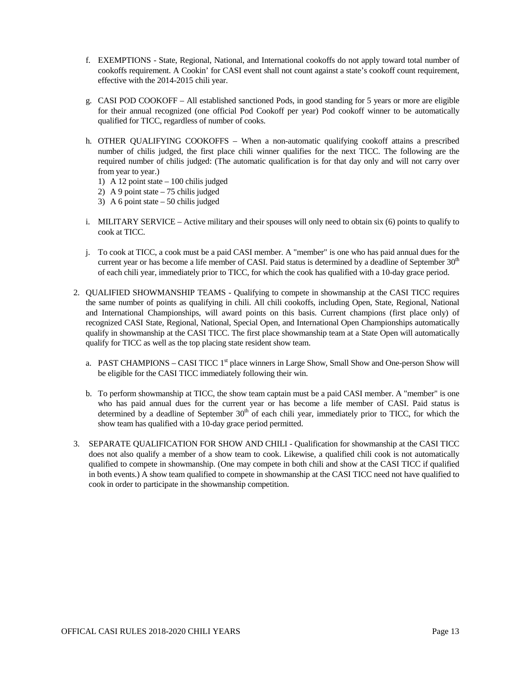- f. EXEMPTIONS State, Regional, National, and International cookoffs do not apply toward total number of cookoffs requirement. A Cookin' for CASI event shall not count against a state's cookoff count requirement, effective with the 2014-2015 chili year.
- g. CASI POD COOKOFF All established sanctioned Pods, in good standing for 5 years or more are eligible for their annual recognized (one official Pod Cookoff per year) Pod cookoff winner to be automatically qualified for TICC, regardless of number of cooks.
- h. OTHER QUALIFYING COOKOFFS When a non-automatic qualifying cookoff attains a prescribed number of chilis judged, the first place chili winner qualifies for the next TICC. The following are the required number of chilis judged: (The automatic qualification is for that day only and will not carry over from year to year.)
	- 1) A 12 point state 100 chilis judged
	- 2) A 9 point state 75 chilis judged
	- 3) A 6 point state 50 chilis judged
- i. MILITARY SERVICE Active military and their spouses will only need to obtain six (6) points to qualify to cook at TICC.
- j. To cook at TICC, a cook must be a paid CASI member. A "member" is one who has paid annual dues for the current year or has become a life member of CASI. Paid status is determined by a deadline of September 30<sup>th</sup> of each chili year, immediately prior to TICC, for which the cook has qualified with a 10-day grace period.
- 2. QUALIFIED SHOWMANSHIP TEAMS Qualifying to compete in showmanship at the CASI TICC requires the same number of points as qualifying in chili. All chili cookoffs, including Open, State, Regional, National and International Championships, will award points on this basis. Current champions (first place only) of recognized CASI State, Regional, National, Special Open, and International Open Championships automatically qualify in showmanship at the CASI TICC. The first place showmanship team at a State Open will automatically qualify for TICC as well as the top placing state resident show team.
	- a. PAST CHAMPIONS CASI TICC  $1<sup>st</sup>$  place winners in Large Show, Small Show and One-person Show will be eligible for the CASI TICC immediately following their win.
	- b. To perform showmanship at TICC, the show team captain must be a paid CASI member. A "member" is one who has paid annual dues for the current year or has become a life member of CASI. Paid status is determined by a deadline of September  $30<sup>th</sup>$  of each chili year, immediately prior to TICC, for which the show team has qualified with a 10-day grace period permitted.
- 3. SEPARATE QUALIFICATION FOR SHOW AND CHILI Qualification for showmanship at the CASI TICC does not also qualify a member of a show team to cook. Likewise, a qualified chili cook is not automatically qualified to compete in showmanship. (One may compete in both chili and show at the CASI TICC if qualified in both events.) A show team qualified to compete in showmanship at the CASI TICC need not have qualified to cook in order to participate in the showmanship competition.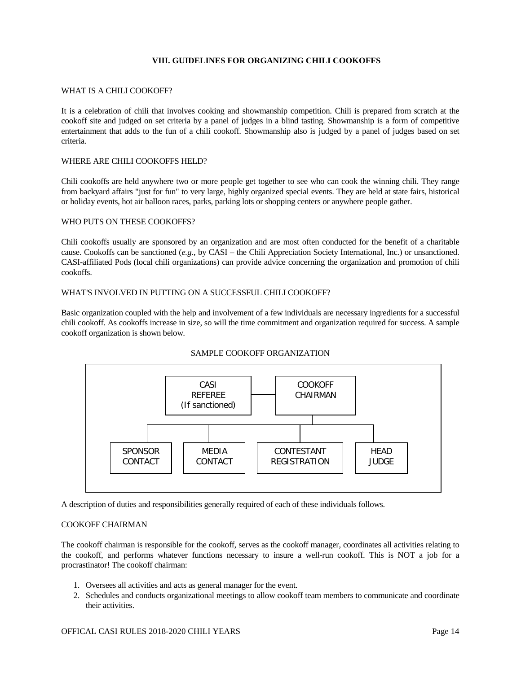# **VIII. GUIDELINES FOR ORGANIZING CHILI COOKOFFS**

#### WHAT IS A CHILI COOKOFF?

It is a celebration of chili that involves cooking and showmanship competition. Chili is prepared from scratch at the cookoff site and judged on set criteria by a panel of judges in a blind tasting. Showmanship is a form of competitive entertainment that adds to the fun of a chili cookoff. Showmanship also is judged by a panel of judges based on set criteria.

#### WHERE ARE CHILI COOKOFFS HELD?

Chili cookoffs are held anywhere two or more people get together to see who can cook the winning chili. They range from backyard affairs "just for fun" to very large, highly organized special events. They are held at state fairs, historical or holiday events, hot air balloon races, parks, parking lots or shopping centers or anywhere people gather.

#### WHO PUTS ON THESE COOKOFFS?

Chili cookoffs usually are sponsored by an organization and are most often conducted for the benefit of a charitable cause. Cookoffs can be sanctioned (*e.g.*, by CASI – the Chili Appreciation Society International, Inc.) or unsanctioned. CASI-affiliated Pods (local chili organizations) can provide advice concerning the organization and promotion of chili cookoffs.

# WHAT'S INVOLVED IN PUTTING ON A SUCCESSFUL CHILI COOKOFF?

Basic organization coupled with the help and involvement of a few individuals are necessary ingredients for a successful chili cookoff. As cookoffs increase in size, so will the time commitment and organization required for success. A sample cookoff organization is shown below.



# SAMPLE COOKOFF ORGANIZATION

A description of duties and responsibilities generally required of each of these individuals follows.

#### COOKOFF CHAIRMAN

The cookoff chairman is responsible for the cookoff, serves as the cookoff manager, coordinates all activities relating to the cookoff, and performs whatever functions necessary to insure a well-run cookoff. This is NOT a job for a procrastinator! The cookoff chairman:

- 1. Oversees all activities and acts as general manager for the event.
- 2. Schedules and conducts organizational meetings to allow cookoff team members to communicate and coordinate their activities.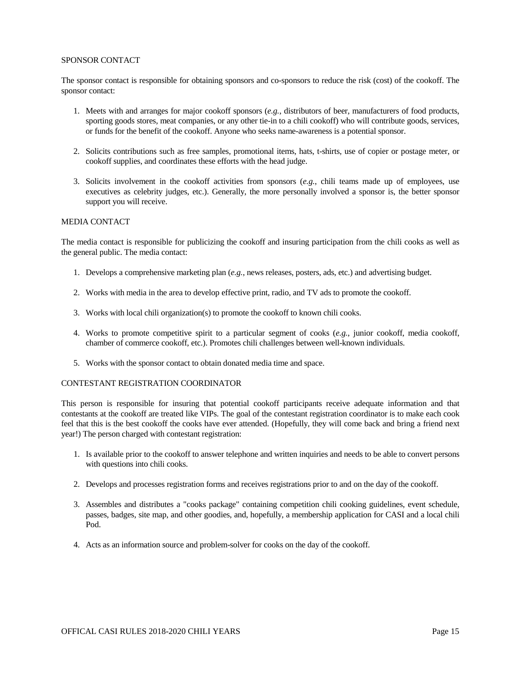#### SPONSOR CONTACT

The sponsor contact is responsible for obtaining sponsors and co-sponsors to reduce the risk (cost) of the cookoff. The sponsor contact:

- 1. Meets with and arranges for major cookoff sponsors (*e.g.*, distributors of beer, manufacturers of food products, sporting goods stores, meat companies, or any other tie-in to a chili cookoff) who will contribute goods, services, or funds for the benefit of the cookoff. Anyone who seeks name-awareness is a potential sponsor.
- 2. Solicits contributions such as free samples, promotional items, hats, t-shirts, use of copier or postage meter, or cookoff supplies, and coordinates these efforts with the head judge.
- 3. Solicits involvement in the cookoff activities from sponsors (*e.g.*, chili teams made up of employees, use executives as celebrity judges, etc.). Generally, the more personally involved a sponsor is, the better sponsor support you will receive.

# MEDIA CONTACT

The media contact is responsible for publicizing the cookoff and insuring participation from the chili cooks as well as the general public. The media contact:

- 1. Develops a comprehensive marketing plan (*e.g.*, news releases, posters, ads, etc.) and advertising budget.
- 2. Works with media in the area to develop effective print, radio, and TV ads to promote the cookoff.
- 3. Works with local chili organization(s) to promote the cookoff to known chili cooks.
- 4. Works to promote competitive spirit to a particular segment of cooks (*e.g.*, junior cookoff, media cookoff, chamber of commerce cookoff, etc.). Promotes chili challenges between well-known individuals.
- 5. Works with the sponsor contact to obtain donated media time and space.

#### CONTESTANT REGISTRATION COORDINATOR

This person is responsible for insuring that potential cookoff participants receive adequate information and that contestants at the cookoff are treated like VIPs. The goal of the contestant registration coordinator is to make each cook feel that this is the best cookoff the cooks have ever attended. (Hopefully, they will come back and bring a friend next year!) The person charged with contestant registration:

- 1. Is available prior to the cookoff to answer telephone and written inquiries and needs to be able to convert persons with questions into chili cooks.
- 2. Develops and processes registration forms and receives registrations prior to and on the day of the cookoff.
- 3. Assembles and distributes a "cooks package" containing competition chili cooking guidelines, event schedule, passes, badges, site map, and other goodies, and, hopefully, a membership application for CASI and a local chili Pod.
- 4. Acts as an information source and problem-solver for cooks on the day of the cookoff.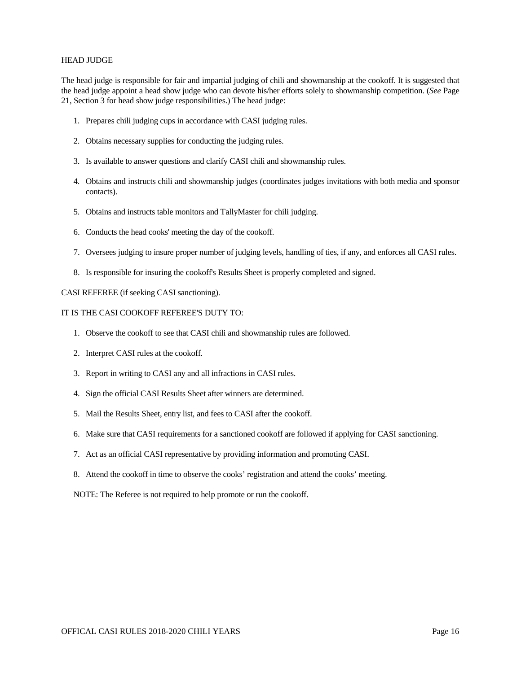#### HEAD JUDGE

The head judge is responsible for fair and impartial judging of chili and showmanship at the cookoff. It is suggested that the head judge appoint a head show judge who can devote his/her efforts solely to showmanship competition. (*See* Page 21, Section 3 for head show judge responsibilities.) The head judge:

- 1. Prepares chili judging cups in accordance with CASI judging rules.
- 2. Obtains necessary supplies for conducting the judging rules.
- 3. Is available to answer questions and clarify CASI chili and showmanship rules.
- 4. Obtains and instructs chili and showmanship judges (coordinates judges invitations with both media and sponsor contacts).
- 5. Obtains and instructs table monitors and TallyMaster for chili judging.
- 6. Conducts the head cooks' meeting the day of the cookoff.
- 7. Oversees judging to insure proper number of judging levels, handling of ties, if any, and enforces all CASI rules.
- 8. Is responsible for insuring the cookoff's Results Sheet is properly completed and signed.

CASI REFEREE (if seeking CASI sanctioning).

#### IT IS THE CASI COOKOFF REFEREE'S DUTY TO:

- 1. Observe the cookoff to see that CASI chili and showmanship rules are followed.
- 2. Interpret CASI rules at the cookoff.
- 3. Report in writing to CASI any and all infractions in CASI rules.
- 4. Sign the official CASI Results Sheet after winners are determined.
- 5. Mail the Results Sheet, entry list, and fees to CASI after the cookoff.
- 6. Make sure that CASI requirements for a sanctioned cookoff are followed if applying for CASI sanctioning.
- 7. Act as an official CASI representative by providing information and promoting CASI.
- 8. Attend the cookoff in time to observe the cooks' registration and attend the cooks' meeting.

NOTE: The Referee is not required to help promote or run the cookoff.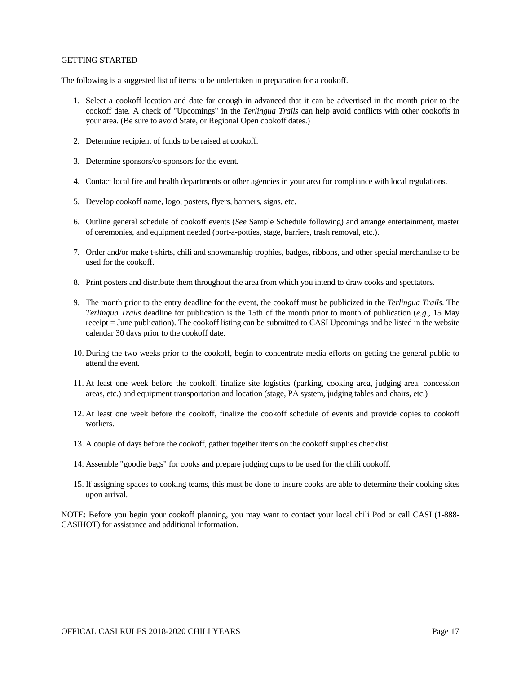#### GETTING STARTED

The following is a suggested list of items to be undertaken in preparation for a cookoff.

- 1. Select a cookoff location and date far enough in advanced that it can be advertised in the month prior to the cookoff date. A check of "Upcomings" in the *Terlingua Trails* can help avoid conflicts with other cookoffs in your area. (Be sure to avoid State, or Regional Open cookoff dates.)
- 2. Determine recipient of funds to be raised at cookoff.
- 3. Determine sponsors/co-sponsors for the event.
- 4. Contact local fire and health departments or other agencies in your area for compliance with local regulations.
- 5. Develop cookoff name, logo, posters, flyers, banners, signs, etc.
- 6. Outline general schedule of cookoff events (*See* Sample Schedule following) and arrange entertainment, master of ceremonies, and equipment needed (port-a-potties, stage, barriers, trash removal, etc.).
- 7. Order and/or make t-shirts, chili and showmanship trophies, badges, ribbons, and other special merchandise to be used for the cookoff.
- 8. Print posters and distribute them throughout the area from which you intend to draw cooks and spectators.
- 9. The month prior to the entry deadline for the event, the cookoff must be publicized in the *Terlingua Trails*. The *Terlingua Trails* deadline for publication is the 15th of the month prior to month of publication (*e.g.*, 15 May receipt = June publication). The cookoff listing can be submitted to CASI Upcomings and be listed in the website calendar 30 days prior to the cookoff date.
- 10. During the two weeks prior to the cookoff, begin to concentrate media efforts on getting the general public to attend the event.
- 11. At least one week before the cookoff, finalize site logistics (parking, cooking area, judging area, concession areas, etc.) and equipment transportation and location (stage, PA system, judging tables and chairs, etc.)
- 12. At least one week before the cookoff, finalize the cookoff schedule of events and provide copies to cookoff workers.
- 13. A couple of days before the cookoff, gather together items on the cookoff supplies checklist.
- 14. Assemble "goodie bags" for cooks and prepare judging cups to be used for the chili cookoff.
- 15. If assigning spaces to cooking teams, this must be done to insure cooks are able to determine their cooking sites upon arrival.

NOTE: Before you begin your cookoff planning, you may want to contact your local chili Pod or call CASI (1-888- CASIHOT) for assistance and additional information.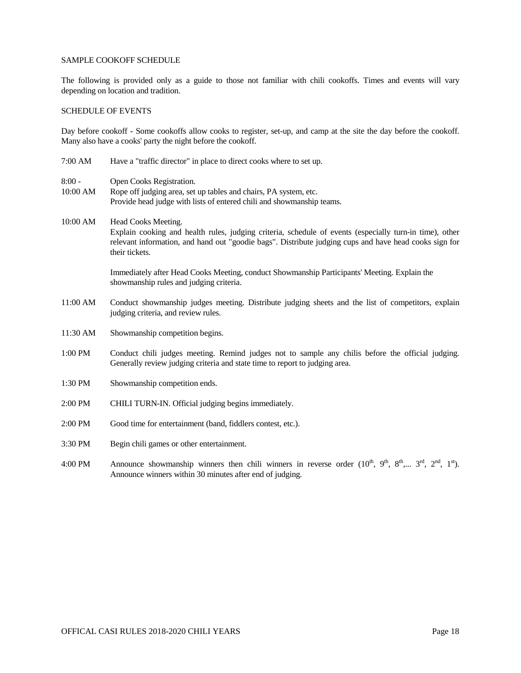#### SAMPLE COOKOFF SCHEDULE

The following is provided only as a guide to those not familiar with chili cookoffs. Times and events will vary depending on location and tradition.

#### SCHEDULE OF EVENTS

Day before cookoff - Some cookoffs allow cooks to register, set-up, and camp at the site the day before the cookoff. Many also have a cooks' party the night before the cookoff.

- 7:00 AM Have a "traffic director" in place to direct cooks where to set up.
- 8:00 Open Cooks Registration.
- 10:00 AM Rope off judging area, set up tables and chairs, PA system, etc. Provide head judge with lists of entered chili and showmanship teams.
- 10:00 AM Head Cooks Meeting. Explain cooking and health rules, judging criteria, schedule of events (especially turn-in time), other relevant information, and hand out "goodie bags". Distribute judging cups and have head cooks sign for their tickets.

Immediately after Head Cooks Meeting, conduct Showmanship Participants' Meeting. Explain the showmanship rules and judging criteria.

- 11:00 AM Conduct showmanship judges meeting. Distribute judging sheets and the list of competitors, explain judging criteria, and review rules.
- 11:30 AM Showmanship competition begins.
- 1:00 PM Conduct chili judges meeting. Remind judges not to sample any chilis before the official judging. Generally review judging criteria and state time to report to judging area.
- 1:30 PM Showmanship competition ends.
- 2:00 PM CHILI TURN-IN. Official judging begins immediately.
- 2:00 PM Good time for entertainment (band, fiddlers contest, etc.).
- 3:30 PM Begin chili games or other entertainment.
- 4:00 PM Announce showmanship winners then chili winners in reverse order  $(10^{th}, 9^{th}, 8^{th}, \ldots 3^{rd}, 2^{nd}, 1^{st})$ . Announce winners within 30 minutes after end of judging.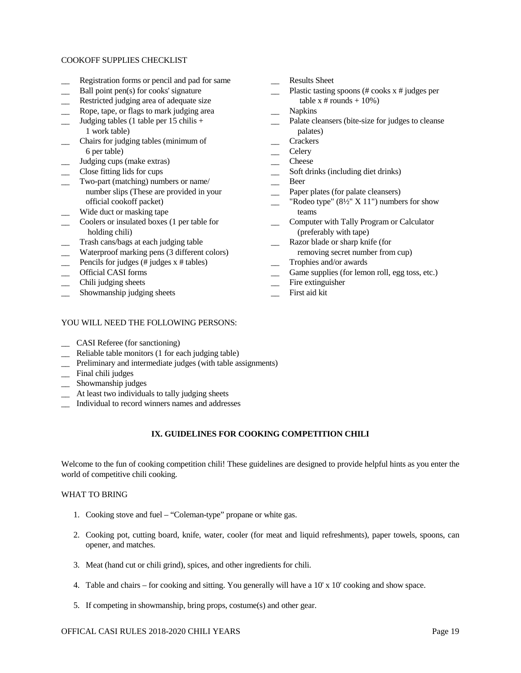#### COOKOFF SUPPLIES CHECKLIST

 $\overline{\phantom{0}}$ 

- Registration forms or pencil and pad for same
- $\overline{a}$ Ball point pen(s) for cooks' signature
- $\overline{a}$ Restricted judging area of adequate size
- $\overline{\phantom{0}}$ Rope, tape, or flags to mark judging area
- $\overline{a}$ Judging tables (1 table per 15 chilis + 1 work table)
- $\overline{a}$ Chairs for judging tables (minimum of 6 per table)
- \_\_ Judging cups (make extras)
- $\overline{\phantom{a}}$ Close fitting lids for cups
- $\overline{a}$ Two-part (matching) numbers or name/ number slips (These are provided in your official cookoff packet)
- $\overline{a}$ Wide duct or masking tape
- $\overline{a}$ Coolers or insulated boxes (1 per table for holding chili)
- $\overline{\phantom{0}}$ Trash cans/bags at each judging table
- $\overline{a}$ Waterproof marking pens (3 different colors)
- $\overline{\phantom{a}}$ Pencils for judges (# judges x # tables)
- $\overline{\phantom{0}}$ Official CASI forms
- $\overline{a}$ Chili judging sheets
- $\overline{a}$ Showmanship judging sheets

## YOU WILL NEED THE FOLLOWING PERSONS:

- \_\_ CASI Referee (for sanctioning)
- \_\_ Reliable table monitors (1 for each judging table)
- \_\_ Preliminary and intermediate judges (with table assignments)
- \_\_ Final chili judges
- \_\_ Showmanship judges
- \_\_ At least two individuals to tally judging sheets
- \_\_ Individual to record winners names and addresses

## **IX. GUIDELINES FOR COOKING COMPETITION CHILI**

Welcome to the fun of cooking competition chili! These guidelines are designed to provide helpful hints as you enter the world of competitive chili cooking.

#### WHAT TO BRING

- 1. Cooking stove and fuel "Coleman-type" propane or white gas.
- 2. Cooking pot, cutting board, knife, water, cooler (for meat and liquid refreshments), paper towels, spoons, can opener, and matches.
- 3. Meat (hand cut or chili grind), spices, and other ingredients for chili.
- 4. Table and chairs for cooking and sitting. You generally will have a 10' x 10' cooking and show space.
- 5. If competing in showmanship, bring props, costume(s) and other gear.

#### OFFICAL CASI RULES 2018-2020 CHILI YEARS Page 19

 $\overline{\phantom{a}}$ Results Sheet

- $\overline{\phantom{a}}$ Plastic tasting spoons (# cooks x # judges per table  $x \#$  rounds + 10%)
- $\overline{\phantom{a}}$ Napkins
- $\overline{\phantom{a}}$ Palate cleansers (bite-size for judges to cleanse palates)
- $\overline{\phantom{a}}$ **Crackers**
- $\overline{\phantom{a}}$ **Celery**
- $\overline{\phantom{a}}$ Cheese
- $\overline{\phantom{a}}$ Soft drinks (including diet drinks)
- $\overline{\phantom{a}}$ Beer
- $\overline{\phantom{a}}$ Paper plates (for palate cleansers)
- $\overline{\phantom{a}}$ "Rodeo type"  $(8\frac{1}{2}$ " X 11") numbers for show teams
- $\overline{\phantom{a}}$ Computer with Tally Program or Calculator (preferably with tape)
- $\overline{\phantom{a}}$ Razor blade or sharp knife (for
	- removing secret number from cup)
- $\overline{\phantom{a}}$ Trophies and/or awards
- $\overline{\phantom{a}}$ Game supplies (for lemon roll, egg toss, etc.)
- $\overline{\phantom{a}}$ Fire extinguisher
- $\overline{\phantom{a}}$ First aid kit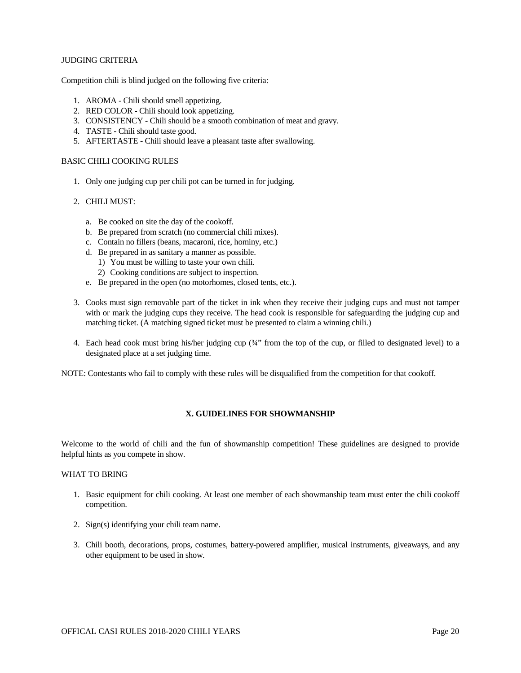# JUDGING CRITERIA

Competition chili is blind judged on the following five criteria:

- 1. AROMA Chili should smell appetizing.
- 2. RED COLOR Chili should look appetizing.
- 3. CONSISTENCY Chili should be a smooth combination of meat and gravy.
- 4. TASTE Chili should taste good.
- 5. AFTERTASTE Chili should leave a pleasant taste after swallowing.

# BASIC CHILI COOKING RULES

- 1. Only one judging cup per chili pot can be turned in for judging.
- 2. CHILI MUST:
	- a. Be cooked on site the day of the cookoff.
	- b. Be prepared from scratch (no commercial chili mixes).
	- c. Contain no fillers (beans, macaroni, rice, hominy, etc.)
	- d. Be prepared in as sanitary a manner as possible.
		- 1) You must be willing to taste your own chili.
		- 2) Cooking conditions are subject to inspection.
	- e. Be prepared in the open (no motorhomes, closed tents, etc.).
- 3. Cooks must sign removable part of the ticket in ink when they receive their judging cups and must not tamper with or mark the judging cups they receive. The head cook is responsible for safeguarding the judging cup and matching ticket. (A matching signed ticket must be presented to claim a winning chili.)
- 4. Each head cook must bring his/her judging cup (¾" from the top of the cup, or filled to designated level) to a designated place at a set judging time.

NOTE: Contestants who fail to comply with these rules will be disqualified from the competition for that cookoff.

# **X. GUIDELINES FOR SHOWMANSHIP**

Welcome to the world of chili and the fun of showmanship competition! These guidelines are designed to provide helpful hints as you compete in show.

#### WHAT TO BRING

- 1. Basic equipment for chili cooking. At least one member of each showmanship team must enter the chili cookoff competition.
- 2. Sign(s) identifying your chili team name.
- 3. Chili booth, decorations, props, costumes, battery-powered amplifier, musical instruments, giveaways, and any other equipment to be used in show.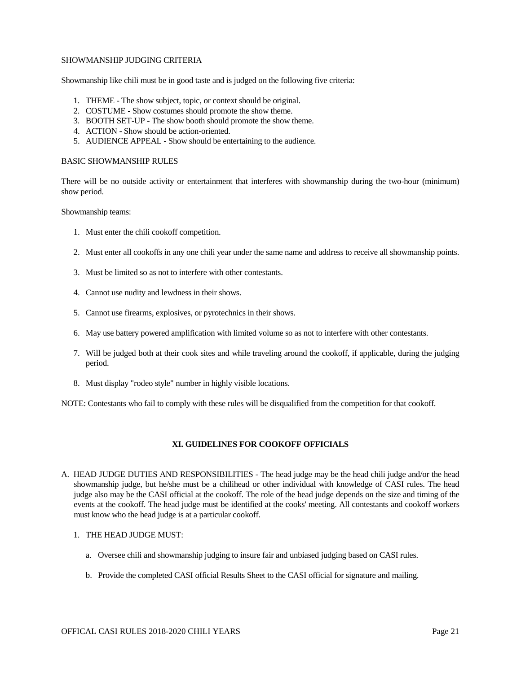#### SHOWMANSHIP JUDGING CRITERIA

Showmanship like chili must be in good taste and is judged on the following five criteria:

- 1. THEME The show subject, topic, or context should be original.
- 2. COSTUME Show costumes should promote the show theme.
- 3. BOOTH SET-UP The show booth should promote the show theme.
- 4. ACTION Show should be action-oriented.
- 5. AUDIENCE APPEAL Show should be entertaining to the audience.

#### BASIC SHOWMANSHIP RULES

There will be no outside activity or entertainment that interferes with showmanship during the two-hour (minimum) show period.

Showmanship teams:

- 1. Must enter the chili cookoff competition.
- 2. Must enter all cookoffs in any one chili year under the same name and address to receive all showmanship points.
- 3. Must be limited so as not to interfere with other contestants.
- 4. Cannot use nudity and lewdness in their shows.
- 5. Cannot use firearms, explosives, or pyrotechnics in their shows.
- 6. May use battery powered amplification with limited volume so as not to interfere with other contestants.
- 7. Will be judged both at their cook sites and while traveling around the cookoff, if applicable, during the judging period.
- 8. Must display "rodeo style" number in highly visible locations.

NOTE: Contestants who fail to comply with these rules will be disqualified from the competition for that cookoff.

#### **XI. GUIDELINES FOR COOKOFF OFFICIALS**

A. HEAD JUDGE DUTIES AND RESPONSIBILITIES - The head judge may be the head chili judge and/or the head showmanship judge, but he/she must be a chilihead or other individual with knowledge of CASI rules. The head judge also may be the CASI official at the cookoff. The role of the head judge depends on the size and timing of the events at the cookoff. The head judge must be identified at the cooks' meeting. All contestants and cookoff workers must know who the head judge is at a particular cookoff.

# 1. THE HEAD JUDGE MUST:

- a. Oversee chili and showmanship judging to insure fair and unbiased judging based on CASI rules.
- b. Provide the completed CASI official Results Sheet to the CASI official for signature and mailing.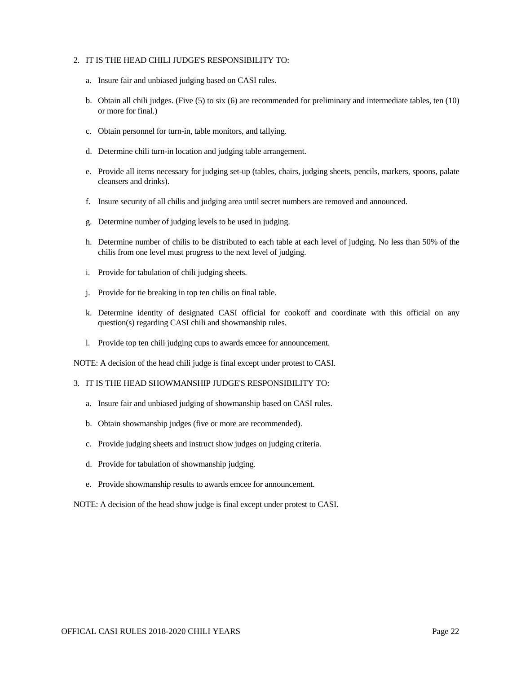#### 2. IT IS THE HEAD CHILI JUDGE'S RESPONSIBILITY TO:

- a. Insure fair and unbiased judging based on CASI rules.
- b. Obtain all chili judges. (Five (5) to six (6) are recommended for preliminary and intermediate tables, ten (10) or more for final.)
- c. Obtain personnel for turn-in, table monitors, and tallying.
- d. Determine chili turn-in location and judging table arrangement.
- e. Provide all items necessary for judging set-up (tables, chairs, judging sheets, pencils, markers, spoons, palate cleansers and drinks).
- f. Insure security of all chilis and judging area until secret numbers are removed and announced.
- g. Determine number of judging levels to be used in judging.
- h. Determine number of chilis to be distributed to each table at each level of judging. No less than 50% of the chilis from one level must progress to the next level of judging.
- i. Provide for tabulation of chili judging sheets.
- j. Provide for tie breaking in top ten chilis on final table.
- k. Determine identity of designated CASI official for cookoff and coordinate with this official on any question(s) regarding CASI chili and showmanship rules.
- l. Provide top ten chili judging cups to awards emcee for announcement.

NOTE: A decision of the head chili judge is final except under protest to CASI.

#### 3. IT IS THE HEAD SHOWMANSHIP JUDGE'S RESPONSIBILITY TO:

- a. Insure fair and unbiased judging of showmanship based on CASI rules.
- b. Obtain showmanship judges (five or more are recommended).
- c. Provide judging sheets and instruct show judges on judging criteria.
- d. Provide for tabulation of showmanship judging.
- e. Provide showmanship results to awards emcee for announcement.

NOTE: A decision of the head show judge is final except under protest to CASI.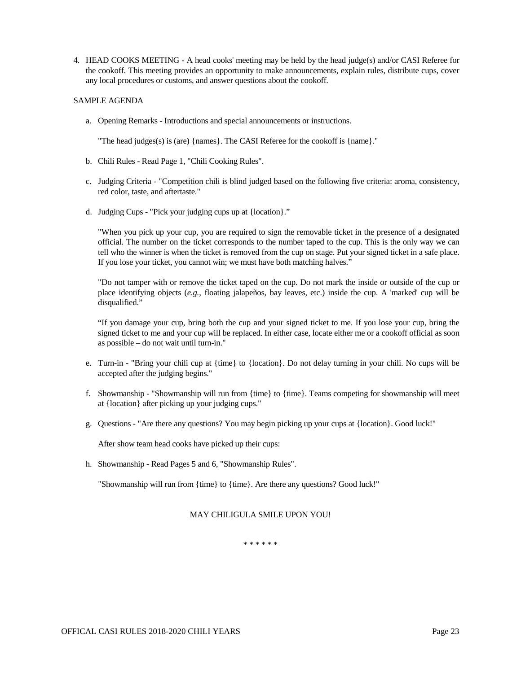4. HEAD COOKS MEETING - A head cooks' meeting may be held by the head judge(s) and/or CASI Referee for the cookoff. This meeting provides an opportunity to make announcements, explain rules, distribute cups, cover any local procedures or customs, and answer questions about the cookoff.

# SAMPLE AGENDA

a. Opening Remarks - Introductions and special announcements or instructions.

"The head judges(s) is (are) {names}. The CASI Referee for the cookoff is {name}."

- b. Chili Rules Read Page 1, "Chili Cooking Rules".
- c. Judging Criteria "Competition chili is blind judged based on the following five criteria: aroma, consistency, red color, taste, and aftertaste."
- d. Judging Cups "Pick your judging cups up at {location}."

"When you pick up your cup, you are required to sign the removable ticket in the presence of a designated official. The number on the ticket corresponds to the number taped to the cup. This is the only way we can tell who the winner is when the ticket is removed from the cup on stage. Put your signed ticket in a safe place. If you lose your ticket, you cannot win; we must have both matching halves."

"Do not tamper with or remove the ticket taped on the cup. Do not mark the inside or outside of the cup or place identifying objects (*e.g.*, floating jalapeños, bay leaves, etc.) inside the cup. A 'marked' cup will be disqualified."

"If you damage your cup, bring both the cup and your signed ticket to me. If you lose your cup, bring the signed ticket to me and your cup will be replaced. In either case, locate either me or a cookoff official as soon as possible – do not wait until turn-in."

- e. Turn-in "Bring your chili cup at {time} to {location}. Do not delay turning in your chili. No cups will be accepted after the judging begins."
- f. Showmanship "Showmanship will run from {time} to {time}. Teams competing for showmanship will meet at {location} after picking up your judging cups."
- g. Questions "Are there any questions? You may begin picking up your cups at {location}. Good luck!"

After show team head cooks have picked up their cups:

h. Showmanship - Read Pages 5 and 6, "Showmanship Rules".

"Showmanship will run from {time} to {time}. Are there any questions? Good luck!"

# MAY CHILIGULA SMILE UPON YOU!

\* \* \* \* \* \*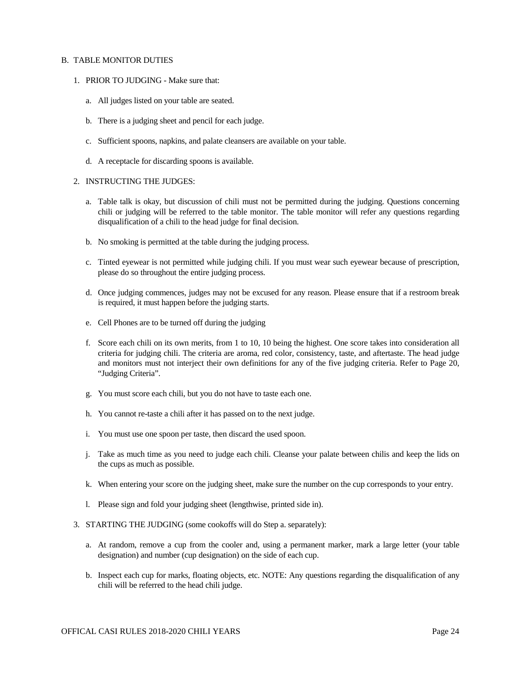#### B. TABLE MONITOR DUTIES

- 1. PRIOR TO JUDGING Make sure that:
	- a. All judges listed on your table are seated.
	- b. There is a judging sheet and pencil for each judge.
	- c. Sufficient spoons, napkins, and palate cleansers are available on your table.
	- d. A receptacle for discarding spoons is available.

#### 2. INSTRUCTING THE JUDGES:

- a. Table talk is okay, but discussion of chili must not be permitted during the judging. Questions concerning chili or judging will be referred to the table monitor. The table monitor will refer any questions regarding disqualification of a chili to the head judge for final decision.
- b. No smoking is permitted at the table during the judging process.
- c. Tinted eyewear is not permitted while judging chili. If you must wear such eyewear because of prescription, please do so throughout the entire judging process.
- d. Once judging commences, judges may not be excused for any reason. Please ensure that if a restroom break is required, it must happen before the judging starts.
- e. Cell Phones are to be turned off during the judging
- f. Score each chili on its own merits, from 1 to 10, 10 being the highest. One score takes into consideration all criteria for judging chili. The criteria are aroma, red color, consistency, taste, and aftertaste. The head judge and monitors must not interject their own definitions for any of the five judging criteria. Refer to Page 20, "Judging Criteria".
- g. You must score each chili, but you do not have to taste each one.
- h. You cannot re-taste a chili after it has passed on to the next judge.
- i. You must use one spoon per taste, then discard the used spoon.
- j. Take as much time as you need to judge each chili. Cleanse your palate between chilis and keep the lids on the cups as much as possible.
- k. When entering your score on the judging sheet, make sure the number on the cup corresponds to your entry.
- l. Please sign and fold your judging sheet (lengthwise, printed side in).
- 3. STARTING THE JUDGING (some cookoffs will do Step a. separately):
	- a. At random, remove a cup from the cooler and, using a permanent marker, mark a large letter (your table designation) and number (cup designation) on the side of each cup.
	- b. Inspect each cup for marks, floating objects, etc. NOTE: Any questions regarding the disqualification of any chili will be referred to the head chili judge.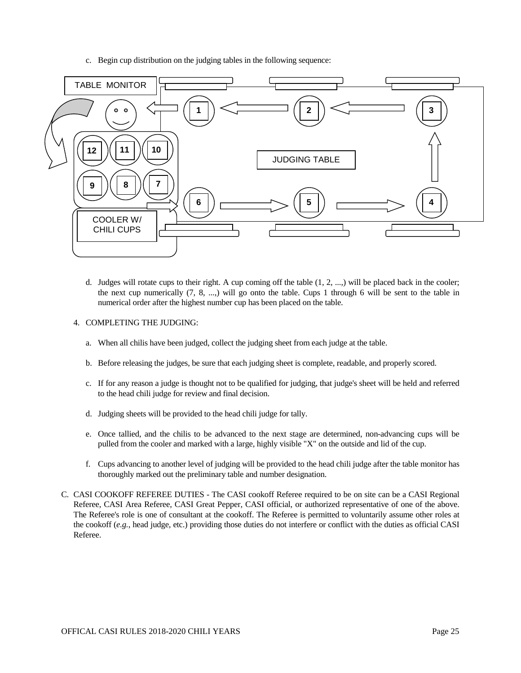c. Begin cup distribution on the judging tables in the following sequence:



- d. Judges will rotate cups to their right. A cup coming off the table (1, 2, ...,) will be placed back in the cooler; the next cup numerically  $(7, 8, \ldots)$  will go onto the table. Cups 1 through 6 will be sent to the table in numerical order after the highest number cup has been placed on the table.
- 4. COMPLETING THE JUDGING:
	- a. When all chilis have been judged, collect the judging sheet from each judge at the table.
	- b. Before releasing the judges, be sure that each judging sheet is complete, readable, and properly scored.
	- c. If for any reason a judge is thought not to be qualified for judging, that judge's sheet will be held and referred to the head chili judge for review and final decision.
	- d. Judging sheets will be provided to the head chili judge for tally.
	- e. Once tallied, and the chilis to be advanced to the next stage are determined, non-advancing cups will be pulled from the cooler and marked with a large, highly visible "X" on the outside and lid of the cup.
	- f. Cups advancing to another level of judging will be provided to the head chili judge after the table monitor has thoroughly marked out the preliminary table and number designation.
- C. CASI COOKOFF REFEREE DUTIES The CASI cookoff Referee required to be on site can be a CASI Regional Referee, CASI Area Referee, CASI Great Pepper, CASI official, or authorized representative of one of the above. The Referee's role is one of consultant at the cookoff. The Referee is permitted to voluntarily assume other roles at the cookoff (*e.g.*, head judge, etc.) providing those duties do not interfere or conflict with the duties as official CASI Referee.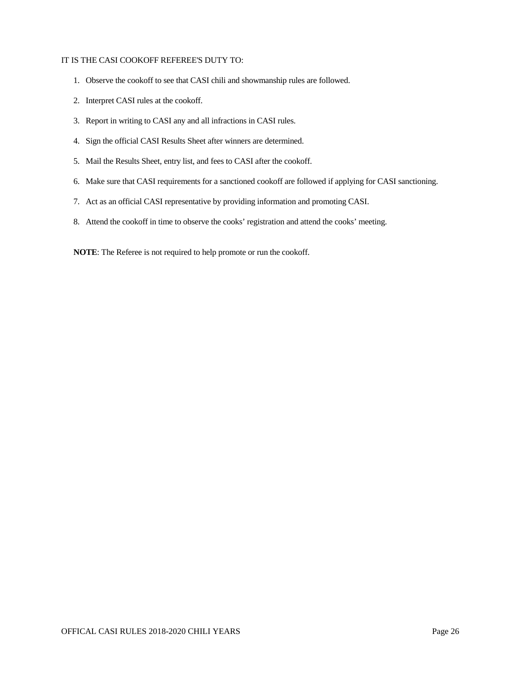#### IT IS THE CASI COOKOFF REFEREE'S DUTY TO:

- 1. Observe the cookoff to see that CASI chili and showmanship rules are followed.
- 2. Interpret CASI rules at the cookoff.
- 3. Report in writing to CASI any and all infractions in CASI rules.
- 4. Sign the official CASI Results Sheet after winners are determined.
- 5. Mail the Results Sheet, entry list, and fees to CASI after the cookoff.
- 6. Make sure that CASI requirements for a sanctioned cookoff are followed if applying for CASI sanctioning.
- 7. Act as an official CASI representative by providing information and promoting CASI.
- 8. Attend the cookoff in time to observe the cooks' registration and attend the cooks' meeting.

**NOTE**: The Referee is not required to help promote or run the cookoff.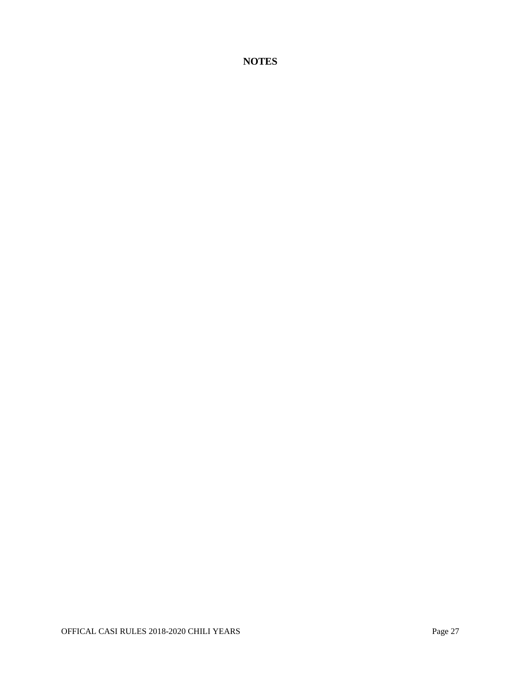**NOTES**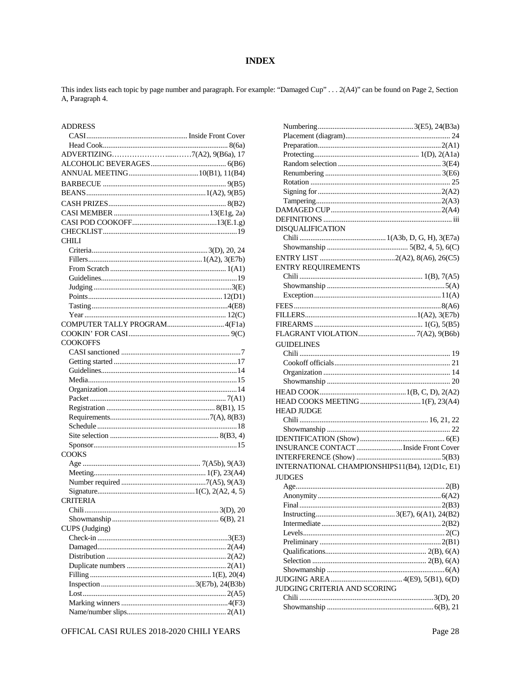# **INDEX**

This index lists each topic by page number and paragraph. For example: "Damaged Cup" . . . 2(A4)" can be found on Page 2, Section A, Paragraph 4.

| <b>ADDRESS</b>  |  |
|-----------------|--|
|                 |  |
|                 |  |
|                 |  |
|                 |  |
|                 |  |
|                 |  |
|                 |  |
|                 |  |
|                 |  |
|                 |  |
|                 |  |
| <b>CHILI</b>    |  |
|                 |  |
|                 |  |
|                 |  |
|                 |  |
|                 |  |
|                 |  |
|                 |  |
|                 |  |
|                 |  |
|                 |  |
|                 |  |
| <b>COOKOFFS</b> |  |
|                 |  |
|                 |  |
|                 |  |
|                 |  |
|                 |  |
|                 |  |
|                 |  |
|                 |  |
|                 |  |
|                 |  |
|                 |  |
| <b>COOKS</b>    |  |
|                 |  |
|                 |  |
|                 |  |
|                 |  |
| <b>CRITERIA</b> |  |
|                 |  |
|                 |  |
| CUPS (Judging)  |  |
|                 |  |
|                 |  |
|                 |  |
|                 |  |
|                 |  |
|                 |  |
|                 |  |
|                 |  |
|                 |  |

|                                          | ,,,,,,,        |
|------------------------------------------|----------------|
|                                          | $\Gamma$<br>Sŀ |
|                                          |                |
|                                          |                |
| OFFICAL CASI RULES 2018-2020 CHILI YEARS |                |

| <b>DISOUALIFICATION</b>                        |  |
|------------------------------------------------|--|
|                                                |  |
|                                                |  |
|                                                |  |
| <b>ENTRY REQUIREMENTS</b>                      |  |
|                                                |  |
|                                                |  |
|                                                |  |
|                                                |  |
|                                                |  |
|                                                |  |
|                                                |  |
|                                                |  |
| <b>GUIDELINES</b>                              |  |
|                                                |  |
|                                                |  |
|                                                |  |
|                                                |  |
|                                                |  |
|                                                |  |
| <b>HEAD JUDGE</b>                              |  |
|                                                |  |
|                                                |  |
|                                                |  |
| INSURANCE CONTACT  Inside Front Cover          |  |
|                                                |  |
| INTERNATIONAL CHAMPIONSHIPS11(B4), 12(D1c, E1) |  |
| JUDGES                                         |  |
|                                                |  |
|                                                |  |
|                                                |  |
|                                                |  |
|                                                |  |
|                                                |  |
|                                                |  |
|                                                |  |
|                                                |  |
|                                                |  |
|                                                |  |
| JUDGING CRITERIA AND SCORING                   |  |
|                                                |  |
|                                                |  |
|                                                |  |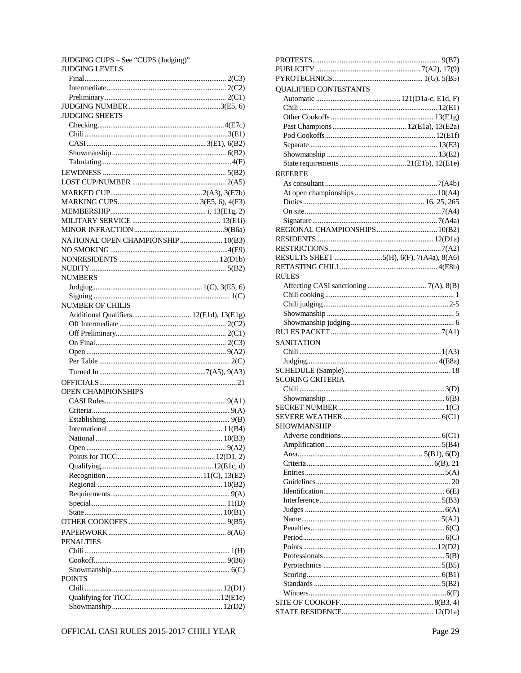| JUDGING CUPS – See "CUPS (Judging)" |  |
|-------------------------------------|--|
| <b>JUDGING LEVELS</b>               |  |
|                                     |  |
|                                     |  |
|                                     |  |
|                                     |  |
| <b>JUDGING SHEETS</b>               |  |
|                                     |  |
|                                     |  |
|                                     |  |
|                                     |  |
|                                     |  |
|                                     |  |
|                                     |  |
|                                     |  |
|                                     |  |
|                                     |  |
|                                     |  |
|                                     |  |
|                                     |  |
| NATIONAL OPEN CHAMPIONSHIP  10(B3)  |  |
|                                     |  |
|                                     |  |
|                                     |  |
| <b>NUMBERS</b>                      |  |
|                                     |  |
|                                     |  |
| <b>NUMBER OF CHILIS</b>             |  |
|                                     |  |
|                                     |  |
|                                     |  |
|                                     |  |
|                                     |  |
|                                     |  |
|                                     |  |
|                                     |  |
|                                     |  |
| OPEN CHAMPIONSHIPS                  |  |
|                                     |  |
|                                     |  |
|                                     |  |
|                                     |  |
| National                            |  |
|                                     |  |
|                                     |  |
|                                     |  |
|                                     |  |
|                                     |  |
|                                     |  |
|                                     |  |
|                                     |  |
|                                     |  |
|                                     |  |
|                                     |  |
| <b>PENALTIES</b>                    |  |
|                                     |  |
|                                     |  |
|                                     |  |
| <b>POINTS</b>                       |  |
|                                     |  |
|                                     |  |
|                                     |  |
|                                     |  |

| <b>QUALIFIED CONTESTANTS</b>            |  |
|-----------------------------------------|--|
|                                         |  |
|                                         |  |
|                                         |  |
|                                         |  |
|                                         |  |
|                                         |  |
|                                         |  |
|                                         |  |
|                                         |  |
| <b>REFEREE</b>                          |  |
|                                         |  |
|                                         |  |
|                                         |  |
|                                         |  |
|                                         |  |
|                                         |  |
|                                         |  |
|                                         |  |
|                                         |  |
| RESULTS SHEET 5(H), 6(F), 7(A4a), 8(A6) |  |
|                                         |  |
| <b>RULES</b>                            |  |
|                                         |  |
|                                         |  |
|                                         |  |
|                                         |  |
|                                         |  |
|                                         |  |
|                                         |  |
| <b>SANITATION</b>                       |  |
|                                         |  |
|                                         |  |
|                                         |  |
| <b>SCORING CRITERIA</b>                 |  |
|                                         |  |
|                                         |  |
|                                         |  |
|                                         |  |
|                                         |  |
| <b>SHOWMANSHIP</b>                      |  |
|                                         |  |
|                                         |  |
|                                         |  |
|                                         |  |
|                                         |  |
|                                         |  |
|                                         |  |
|                                         |  |
|                                         |  |
|                                         |  |
|                                         |  |
|                                         |  |
|                                         |  |
|                                         |  |
|                                         |  |
|                                         |  |
|                                         |  |
|                                         |  |
|                                         |  |
|                                         |  |
|                                         |  |
|                                         |  |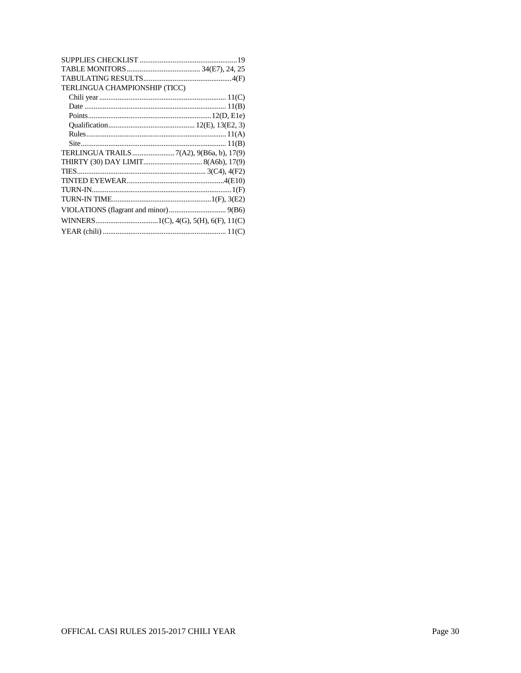| TERLINGUA CHAMPIONSHIP (TICC)           |
|-----------------------------------------|
|                                         |
|                                         |
|                                         |
|                                         |
|                                         |
|                                         |
| TERLINGUA TRAILS7(A2), 9(B6a, b), 17(9) |
|                                         |
|                                         |
|                                         |
|                                         |
|                                         |
|                                         |
|                                         |
|                                         |